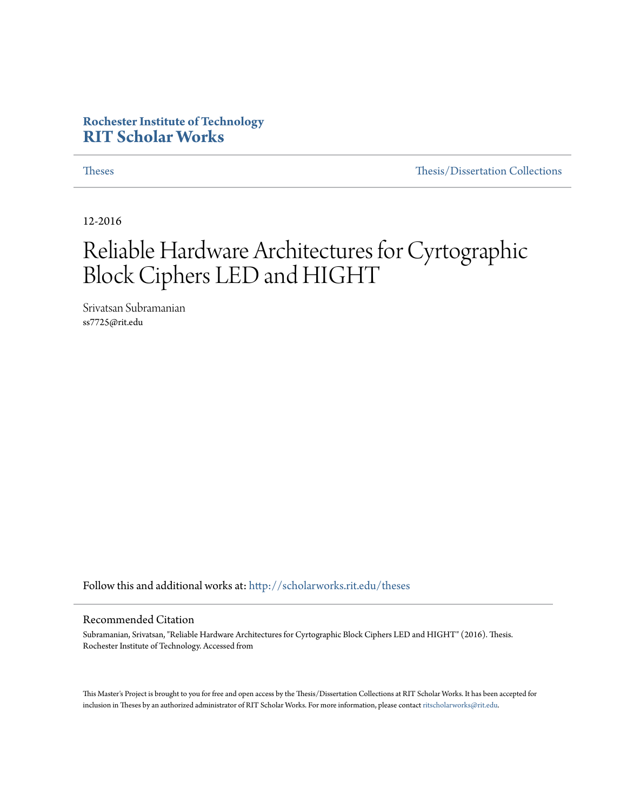### **Rochester Institute of Technology [RIT Scholar Works](http://scholarworks.rit.edu?utm_source=scholarworks.rit.edu%2Ftheses%2F9272&utm_medium=PDF&utm_campaign=PDFCoverPages)**

[Theses](http://scholarworks.rit.edu/theses?utm_source=scholarworks.rit.edu%2Ftheses%2F9272&utm_medium=PDF&utm_campaign=PDFCoverPages) [Thesis/Dissertation Collections](http://scholarworks.rit.edu/etd_collections?utm_source=scholarworks.rit.edu%2Ftheses%2F9272&utm_medium=PDF&utm_campaign=PDFCoverPages)

12-2016

## Reliable Hardware Architectures for Cyrtographic Block Ciphers LED and HIGHT

Srivatsan Subramanian ss7725@rit.edu

Follow this and additional works at: [http://scholarworks.rit.edu/theses](http://scholarworks.rit.edu/theses?utm_source=scholarworks.rit.edu%2Ftheses%2F9272&utm_medium=PDF&utm_campaign=PDFCoverPages)

### Recommended Citation

Subramanian, Srivatsan, "Reliable Hardware Architectures for Cyrtographic Block Ciphers LED and HIGHT" (2016). Thesis. Rochester Institute of Technology. Accessed from

This Master's Project is brought to you for free and open access by the Thesis/Dissertation Collections at RIT Scholar Works. It has been accepted for inclusion in Theses by an authorized administrator of RIT Scholar Works. For more information, please contact [ritscholarworks@rit.edu](mailto:ritscholarworks@rit.edu).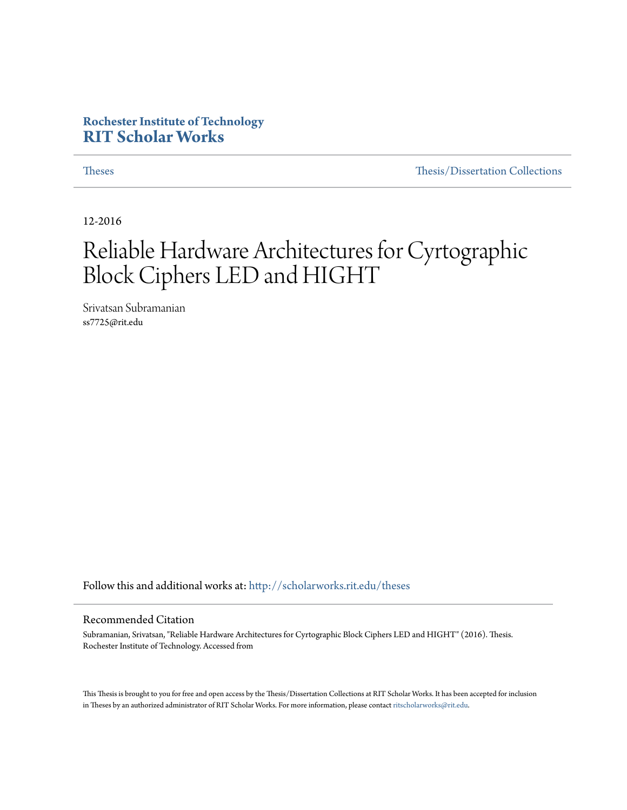### **Rochester Institute of Technology [RIT Scholar Works](http://scholarworks.rit.edu?utm_source=scholarworks.rit.edu%2Ftheses%2F9272&utm_medium=PDF&utm_campaign=PDFCoverPages)**

[Theses](http://scholarworks.rit.edu/theses?utm_source=scholarworks.rit.edu%2Ftheses%2F9272&utm_medium=PDF&utm_campaign=PDFCoverPages) [Thesis/Dissertation Collections](http://scholarworks.rit.edu/etd_collections?utm_source=scholarworks.rit.edu%2Ftheses%2F9272&utm_medium=PDF&utm_campaign=PDFCoverPages)

12-2016

## Reliable Hardware Architectures for Cyrtographic Block Ciphers LED and HIGHT

Srivatsan Subramanian ss7725@rit.edu

Follow this and additional works at: [http://scholarworks.rit.edu/theses](http://scholarworks.rit.edu/theses?utm_source=scholarworks.rit.edu%2Ftheses%2F9272&utm_medium=PDF&utm_campaign=PDFCoverPages)

### Recommended Citation

Subramanian, Srivatsan, "Reliable Hardware Architectures for Cyrtographic Block Ciphers LED and HIGHT" (2016). Thesis. Rochester Institute of Technology. Accessed from

This Thesis is brought to you for free and open access by the Thesis/Dissertation Collections at RIT Scholar Works. It has been accepted for inclusion in Theses by an authorized administrator of RIT Scholar Works. For more information, please contact [ritscholarworks@rit.edu](mailto:ritscholarworks@rit.edu).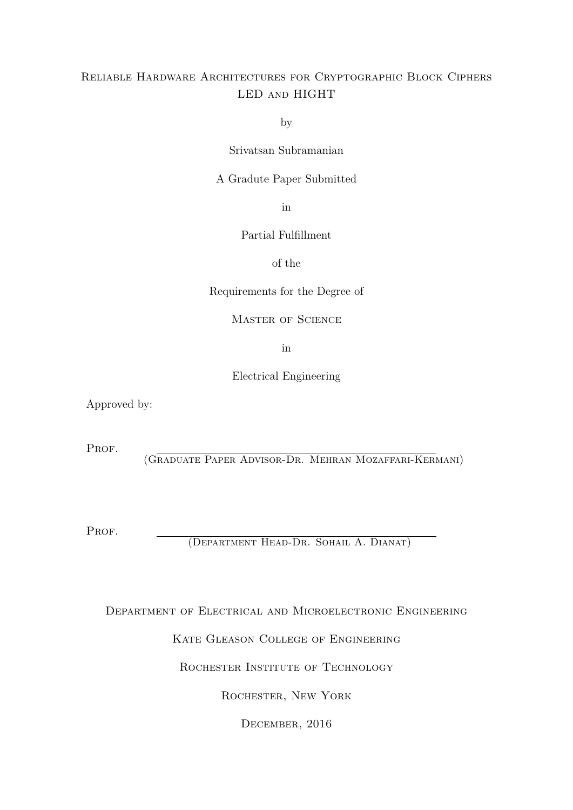### Reliable Hardware Architectures for Cryptographic Block Ciphers LED and HIGHT

by

Srivatsan Subramanian

A Gradute Paper Submitted

in

Partial Fulfillment

of the

Requirements for the Degree of

Master of Science

in

Electrical Engineering

Approved by:

PROF.

(Graduate Paper Advisor-Dr. Mehran Mozaffari-Kermani)

PROF.

(Department Head-Dr. Sohail A. Dianat)

Department of Electrical and Microelectronic Engineering

Kate Gleason College of Engineering

ROCHESTER INSTITUTE OF TECHNOLOGY

Rochester, New York

December, 2016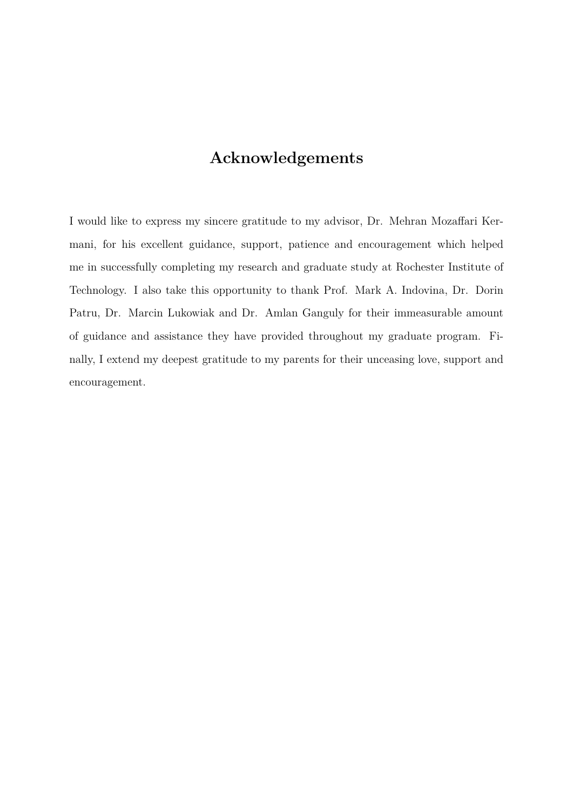## **Acknowledgements**

I would like to express my sincere gratitude to my advisor, Dr. Mehran Mozaffari Kermani, for his excellent guidance, support, patience and encouragement which helped me in successfully completing my research and graduate study at Rochester Institute of Technology. I also take this opportunity to thank Prof. Mark A. Indovina, Dr. Dorin Patru, Dr. Marcin Lukowiak and Dr. Amlan Ganguly for their immeasurable amount of guidance and assistance they have provided throughout my graduate program. Finally, I extend my deepest gratitude to my parents for their unceasing love, support and encouragement.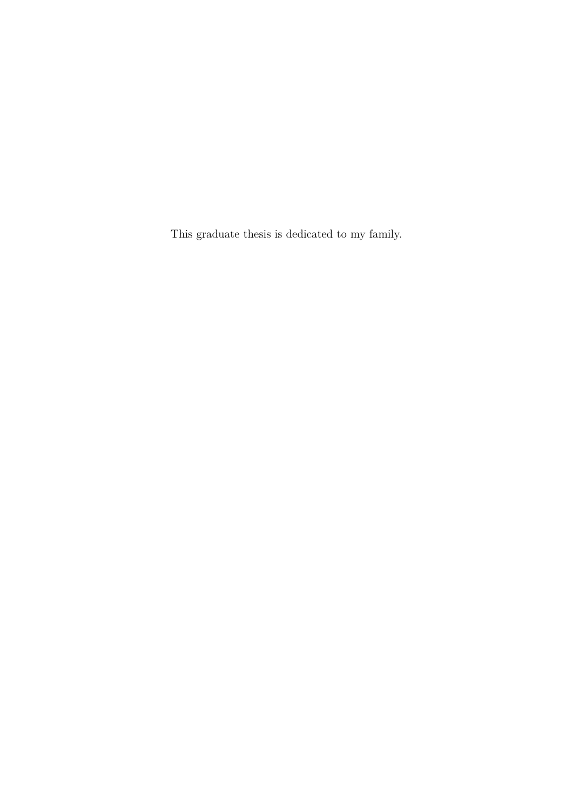This graduate thesis is dedicated to my family.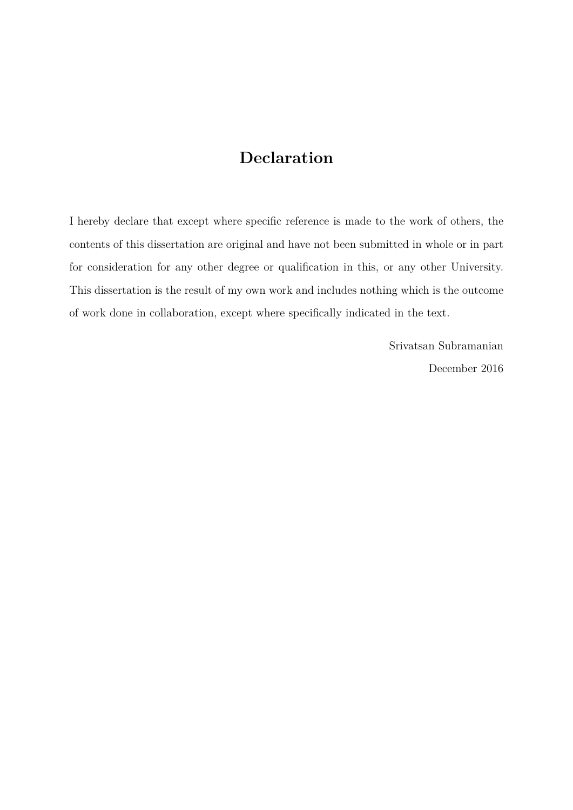## **Declaration**

I hereby declare that except where specific reference is made to the work of others, the contents of this dissertation are original and have not been submitted in whole or in part for consideration for any other degree or qualification in this, or any other University. This dissertation is the result of my own work and includes nothing which is the outcome of work done in collaboration, except where specifically indicated in the text.

> Srivatsan Subramanian December 2016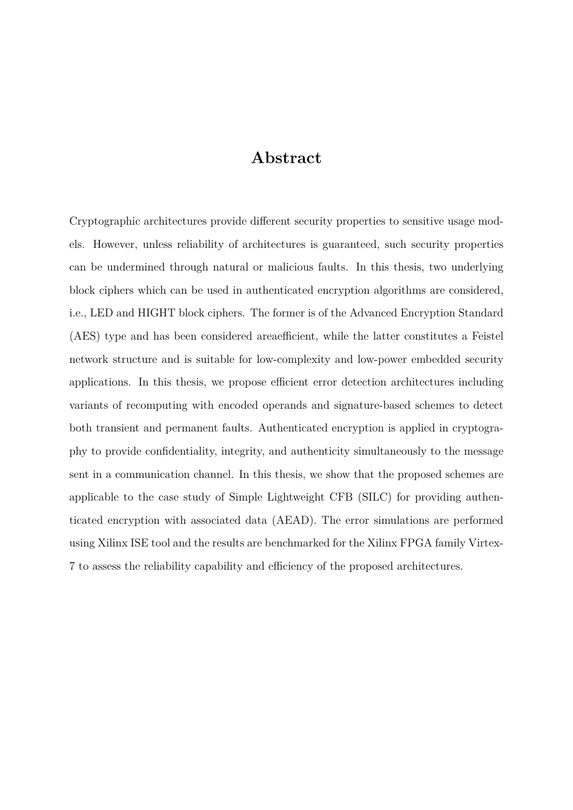### **Abstract**

Cryptographic architectures provide different security properties to sensitive usage models. However, unless reliability of architectures is guaranteed, such security properties can be undermined through natural or malicious faults. In this thesis, two underlying block ciphers which can be used in authenticated encryption algorithms are considered, i.e., LED and HIGHT block ciphers. The former is of the Advanced Encryption Standard (AES) type and has been considered areaefficient, while the latter constitutes a Feistel network structure and is suitable for low-complexity and low-power embedded security applications. In this thesis, we propose efficient error detection architectures including variants of recomputing with encoded operands and signature-based schemes to detect both transient and permanent faults. Authenticated encryption is applied in cryptography to provide confidentiality, integrity, and authenticity simultaneously to the message sent in a communication channel. In this thesis, we show that the proposed schemes are applicable to the case study of Simple Lightweight CFB (SILC) for providing authenticated encryption with associated data (AEAD). The error simulations are performed using Xilinx ISE tool and the results are benchmarked for the Xilinx FPGA family Virtex-7 to assess the reliability capability and efficiency of the proposed architectures.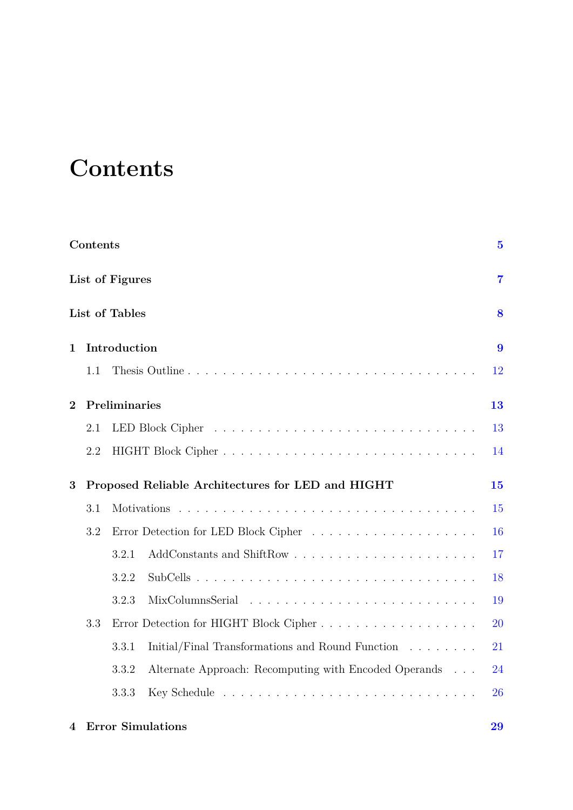## <span id="page-7-0"></span>**Contents**

|                | Contents |                                                                | $\overline{5}$ |
|----------------|----------|----------------------------------------------------------------|----------------|
|                |          | List of Figures                                                | $\overline{7}$ |
|                |          | List of Tables                                                 | 8              |
| 1              |          | Introduction                                                   | 9              |
|                | 1.1      |                                                                | 12             |
| $\overline{2}$ |          | Preliminaries                                                  | 13             |
|                | 2.1      |                                                                | 13             |
|                | 2.2      |                                                                | 14             |
| 3              |          | Proposed Reliable Architectures for LED and HIGHT              | 15             |
|                | 3.1      |                                                                | 15             |
|                | 3.2      |                                                                | 16             |
|                |          | 3.2.1                                                          | 17             |
|                |          | 3.2.2                                                          | 18             |
|                |          | 3.2.3                                                          | 19             |
|                | 3.3      |                                                                | 20             |
|                |          | Initial/Final Transformations and Round Function<br>3.3.1      | 21             |
|                |          | Alternate Approach: Recomputing with Encoded Operands<br>3.3.2 | 24             |
|                |          | 3.3.3                                                          | 26             |
|                |          |                                                                |                |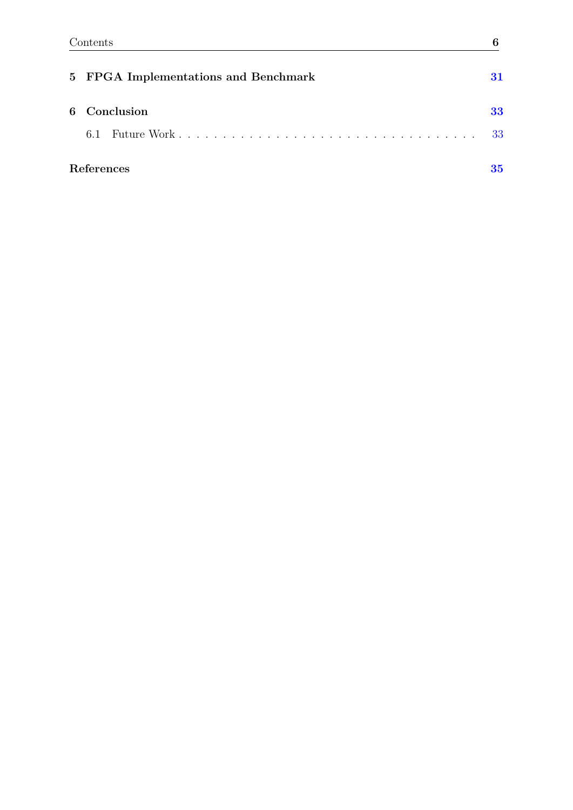| 5 FPGA Implementations and Benchmark | 31  |
|--------------------------------------|-----|
| 6 Conclusion                         | 33  |
| 6.1                                  | -33 |
| References                           | 35  |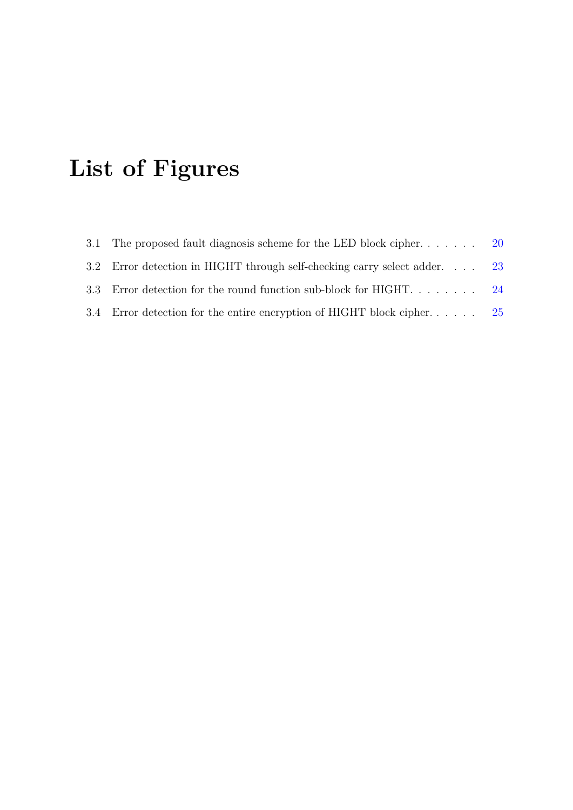## <span id="page-9-0"></span>**List of Figures**

| 3.1 The proposed fault diagnosis scheme for the LED block cipher 20      |     |
|--------------------------------------------------------------------------|-----|
| 3.2 Error detection in HIGHT through self-checking carry select adder 23 |     |
| 3.3 Error detection for the round function sub-block for HIGHT 24        |     |
| 3.4 Error detection for the entire encryption of HIGHT block cipher      | -25 |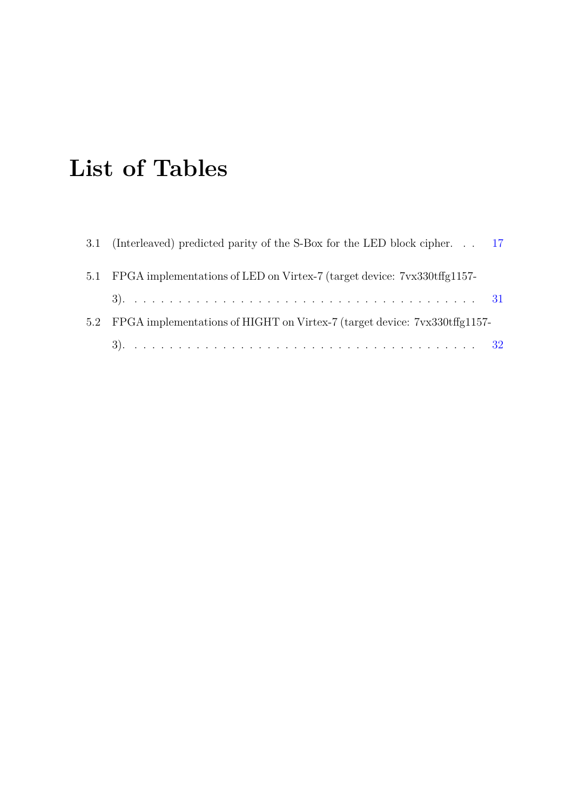## <span id="page-10-0"></span>**List of Tables**

|     | 3.1 (Interleaved) predicted parity of the S-Box for the LED block cipher. 17 |  |
|-----|------------------------------------------------------------------------------|--|
|     | 5.1 FPGA implementations of LED on Virtex-7 (target device: 7vx330tffg1157-  |  |
|     |                                                                              |  |
| 5.2 | FPGA implementations of HIGHT on Virtex-7 (target device: 7vx330tffg1157-    |  |
|     |                                                                              |  |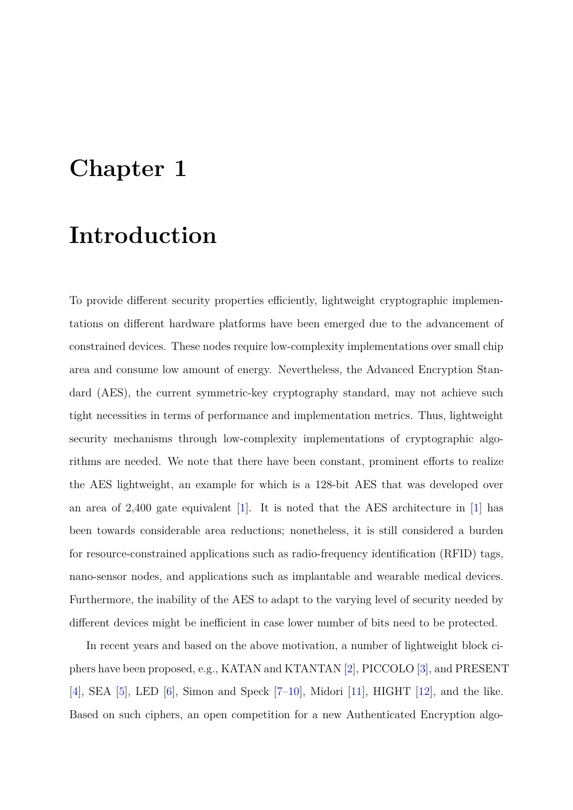## <span id="page-11-0"></span>**Chapter 1**

## **Introduction**

To provide different security properties efficiently, lightweight cryptographic implementations on different hardware platforms have been emerged due to the advancement of constrained devices. These nodes require low-complexity implementations over small chip area and consume low amount of energy. Nevertheless, the Advanced Encryption Standard (AES), the current symmetric-key cryptography standard, may not achieve such tight necessities in terms of performance and implementation metrics. Thus, lightweight security mechanisms through low-complexity implementations of cryptographic algorithms are needed. We note that there have been constant, prominent efforts to realize the AES lightweight, an example for which is a 128-bit AES that was developed over an area of 2,400 gate equivalent [\[1\]](#page-37-1). It is noted that the AES architecture in [\[1\]](#page-37-1) has been towards considerable area reductions; nonetheless, it is still considered a burden for resource-constrained applications such as radio-frequency identification (RFID) tags, nano-sensor nodes, and applications such as implantable and wearable medical devices. Furthermore, the inability of the AES to adapt to the varying level of security needed by different devices might be inefficient in case lower number of bits need to be protected.

In recent years and based on the above motivation, a number of lightweight block ciphers have been proposed, e.g., KATAN and KTANTAN [\[2\]](#page-37-2), PICCOLO [\[3\]](#page-37-3), and PRESENT [\[4\]](#page-37-4), SEA [\[5\]](#page-37-5), LED [\[6\]](#page-37-6), Simon and Speck  $[7-10]$  $[7-10]$ , Midori [\[11\]](#page-38-1), HIGHT [\[12\]](#page-38-2), and the like. Based on such ciphers, an open competition for a new Authenticated Encryption algo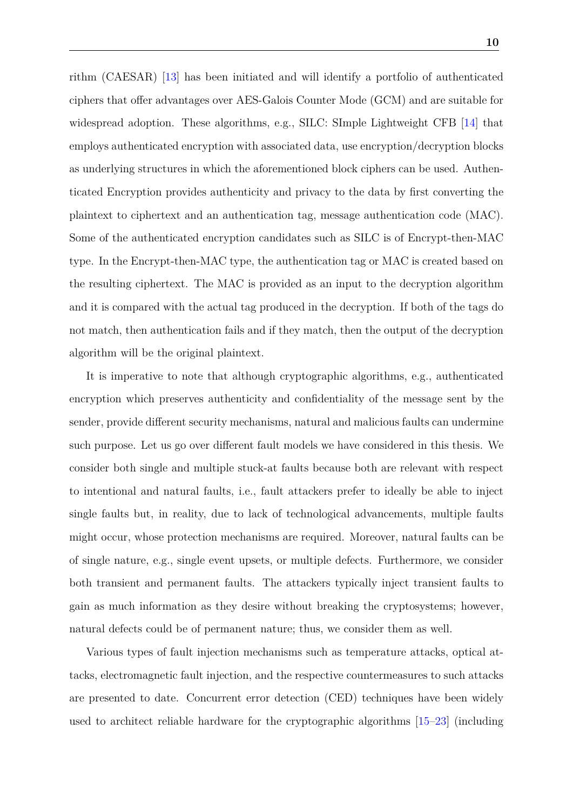rithm (CAESAR) [\[13\]](#page-38-3) has been initiated and will identify a portfolio of authenticated ciphers that offer advantages over AES-Galois Counter Mode (GCM) and are suitable for widespread adoption. These algorithms, e.g., SILC: SImple Lightweight CFB [\[14\]](#page-38-4) that employs authenticated encryption with associated data, use encryption/decryption blocks as underlying structures in which the aforementioned block ciphers can be used. Authenticated Encryption provides authenticity and privacy to the data by first converting the plaintext to ciphertext and an authentication tag, message authentication code (MAC). Some of the authenticated encryption candidates such as SILC is of Encrypt-then-MAC type. In the Encrypt-then-MAC type, the authentication tag or MAC is created based on the resulting ciphertext. The MAC is provided as an input to the decryption algorithm and it is compared with the actual tag produced in the decryption. If both of the tags do not match, then authentication fails and if they match, then the output of the decryption algorithm will be the original plaintext.

It is imperative to note that although cryptographic algorithms, e.g., authenticated encryption which preserves authenticity and confidentiality of the message sent by the sender, provide different security mechanisms, natural and malicious faults can undermine such purpose. Let us go over different fault models we have considered in this thesis. We consider both single and multiple stuck-at faults because both are relevant with respect to intentional and natural faults, i.e., fault attackers prefer to ideally be able to inject single faults but, in reality, due to lack of technological advancements, multiple faults might occur, whose protection mechanisms are required. Moreover, natural faults can be of single nature, e.g., single event upsets, or multiple defects. Furthermore, we consider both transient and permanent faults. The attackers typically inject transient faults to gain as much information as they desire without breaking the cryptosystems; however, natural defects could be of permanent nature; thus, we consider them as well.

Various types of fault injection mechanisms such as temperature attacks, optical attacks, electromagnetic fault injection, and the respective countermeasures to such attacks are presented to date. Concurrent error detection (CED) techniques have been widely used to architect reliable hardware for the cryptographic algorithms [\[15](#page-38-5)[–23\]](#page-39-0) (including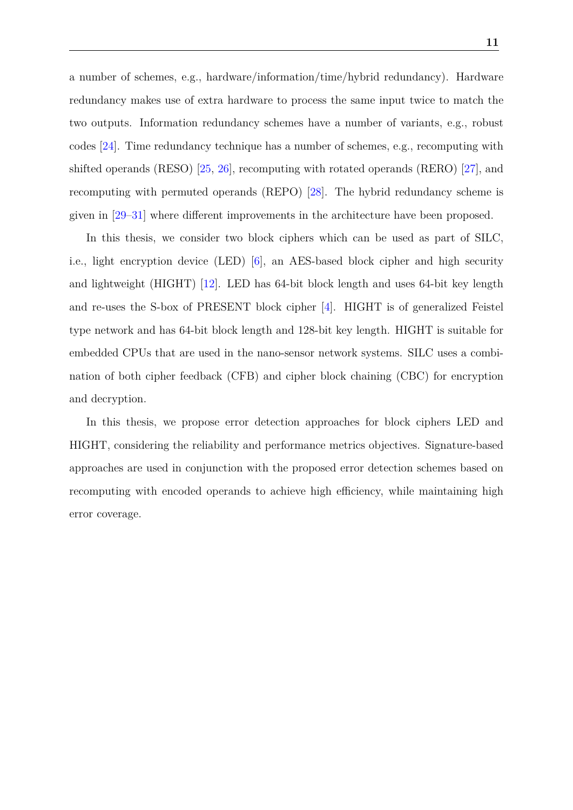a number of schemes, e.g., hardware/information/time/hybrid redundancy). Hardware redundancy makes use of extra hardware to process the same input twice to match the two outputs. Information redundancy schemes have a number of variants, e.g., robust codes [\[24\]](#page-39-1). Time redundancy technique has a number of schemes, e.g., recomputing with shifted operands (RESO) [\[25,](#page-40-0) [26\]](#page-40-1), recomputing with rotated operands (RERO) [\[27\]](#page-40-2), and recomputing with permuted operands (REPO) [\[28\]](#page-40-3). The hybrid redundancy scheme is given in [\[29](#page-40-4)[–31\]](#page-40-5) where different improvements in the architecture have been proposed.

In this thesis, we consider two block ciphers which can be used as part of SILC, i.e., light encryption device (LED) [\[6\]](#page-37-6), an AES-based block cipher and high security and lightweight (HIGHT) [\[12\]](#page-38-2). LED has 64-bit block length and uses 64-bit key length and re-uses the S-box of PRESENT block cipher [\[4\]](#page-37-4). HIGHT is of generalized Feistel type network and has 64-bit block length and 128-bit key length. HIGHT is suitable for embedded CPUs that are used in the nano-sensor network systems. SILC uses a combination of both cipher feedback (CFB) and cipher block chaining (CBC) for encryption and decryption.

In this thesis, we propose error detection approaches for block ciphers LED and HIGHT, considering the reliability and performance metrics objectives. Signature-based approaches are used in conjunction with the proposed error detection schemes based on recomputing with encoded operands to achieve high efficiency, while maintaining high error coverage.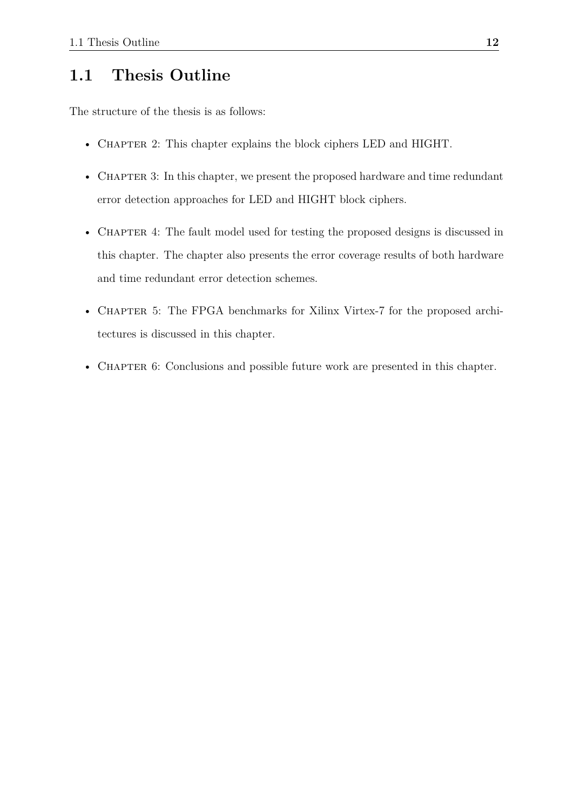### <span id="page-14-0"></span>**1.1 Thesis Outline**

The structure of the thesis is as follows:

- CHAPTER 2: This chapter explains the block ciphers LED and HIGHT.
- CHAPTER 3: In this chapter, we present the proposed hardware and time redundant error detection approaches for LED and HIGHT block ciphers.
- CHAPTER 4: The fault model used for testing the proposed designs is discussed in this chapter. The chapter also presents the error coverage results of both hardware and time redundant error detection schemes.
- CHAPTER 5: The FPGA benchmarks for Xilinx Virtex-7 for the proposed architectures is discussed in this chapter.
- CHAPTER 6: Conclusions and possible future work are presented in this chapter.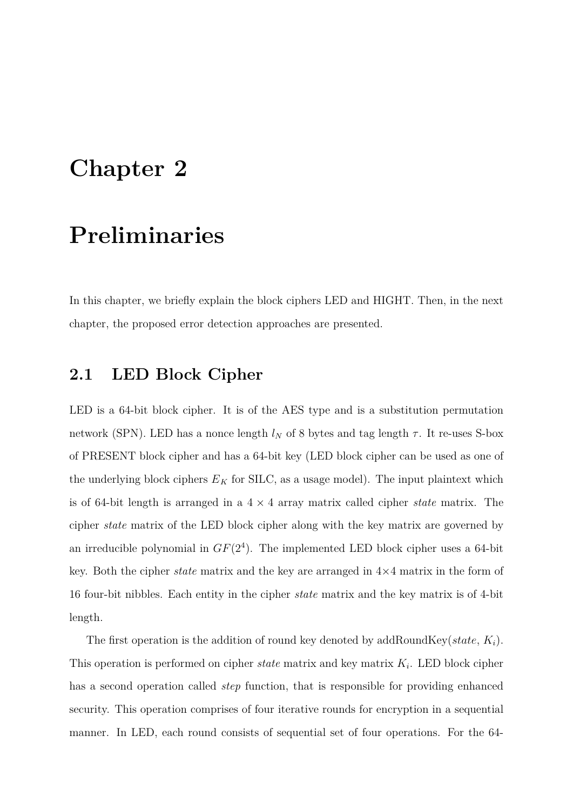## <span id="page-15-0"></span>**Chapter 2**

## **Preliminaries**

In this chapter, we briefly explain the block ciphers LED and HIGHT. Then, in the next chapter, the proposed error detection approaches are presented.

### <span id="page-15-1"></span>**2.1 LED Block Cipher**

LED is a 64-bit block cipher. It is of the AES type and is a substitution permutation network (SPN). LED has a nonce length  $l_N$  of 8 bytes and tag length  $\tau$ . It re-uses S-box of PRESENT block cipher and has a 64-bit key (LED block cipher can be used as one of the underlying block ciphers  $E_K$  for SILC, as a usage model). The input plaintext which is of 64-bit length is arranged in a 4 × 4 array matrix called cipher *state* matrix. The cipher *state* matrix of the LED block cipher along with the key matrix are governed by an irreducible polynomial in  $GF(2<sup>4</sup>)$ . The implemented LED block cipher uses a 64-bit key. Both the cipher *state* matrix and the key are arranged in 4×4 matrix in the form of 16 four-bit nibbles. Each entity in the cipher *state* matrix and the key matrix is of 4-bit length.

The first operation is the addition of round key denoted by addRoundKey(*state*, *Ki*). This operation is performed on cipher *state* matrix and key matrix *K<sup>i</sup>* . LED block cipher has a second operation called *step* function, that is responsible for providing enhanced security. This operation comprises of four iterative rounds for encryption in a sequential manner. In LED, each round consists of sequential set of four operations. For the 64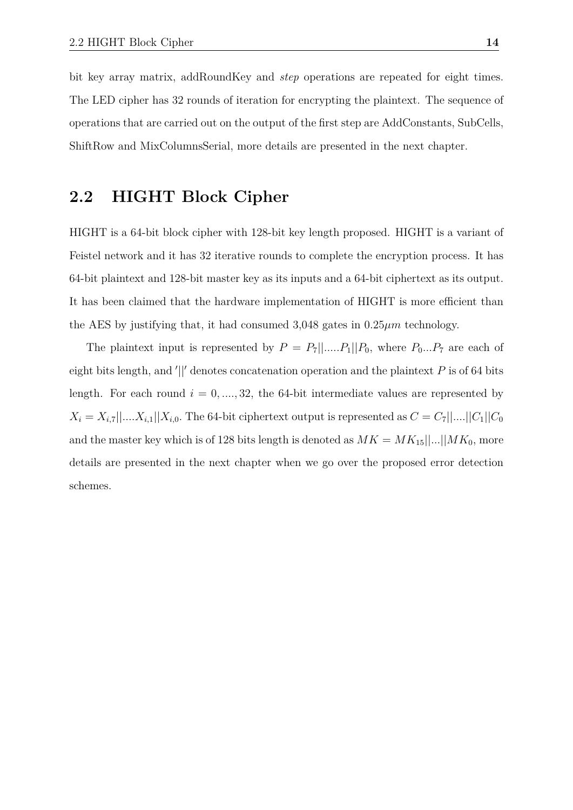bit key array matrix, addRoundKey and *step* operations are repeated for eight times. The LED cipher has 32 rounds of iteration for encrypting the plaintext. The sequence of operations that are carried out on the output of the first step are AddConstants, SubCells, ShiftRow and MixColumnsSerial, more details are presented in the next chapter.

### <span id="page-16-0"></span>**2.2 HIGHT Block Cipher**

HIGHT is a 64-bit block cipher with 128-bit key length proposed. HIGHT is a variant of Feistel network and it has 32 iterative rounds to complete the encryption process. It has 64-bit plaintext and 128-bit master key as its inputs and a 64-bit ciphertext as its output. It has been claimed that the hardware implementation of HIGHT is more efficient than the AES by justifying that, it had consumed 3,048 gates in 0.25*µm* technology.

The plaintext input is represented by  $P = P_7||...P_1||P_0$ , where  $P_0...P_7$  are each of eight bits length, and '||' denotes concatenation operation and the plaintext *P* is of 64 bits length. For each round  $i = 0, \ldots, 32$ , the 64-bit intermediate values are represented by  $X_i = X_{i,7}||...X_{i,1}||X_{i,0}$ . The 64-bit ciphertext output is represented as  $C = C_7||...||C_1||C_0$ and the master key which is of 128 bits length is denoted as  $MK = MK_{15}$ [*...*][*MK*<sub>0</sub>, more details are presented in the next chapter when we go over the proposed error detection schemes.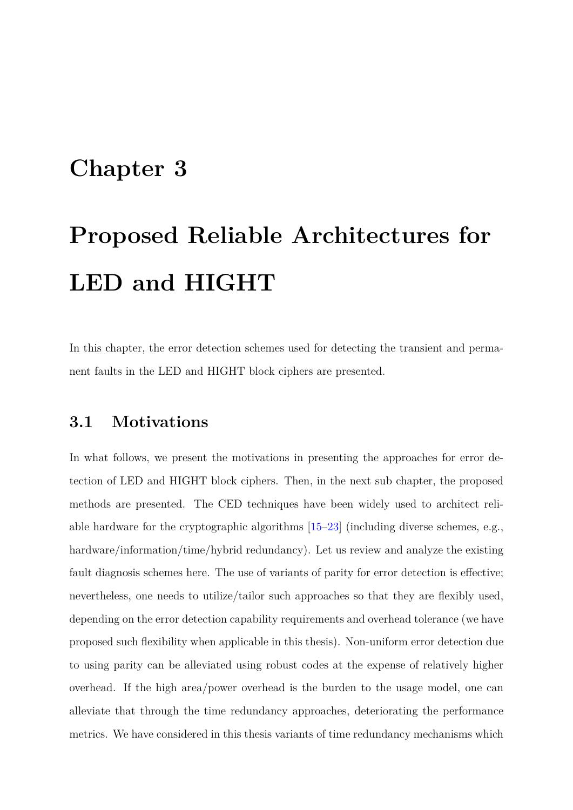## <span id="page-17-0"></span>**Chapter 3**

# **Proposed Reliable Architectures for LED and HIGHT**

In this chapter, the error detection schemes used for detecting the transient and permanent faults in the LED and HIGHT block ciphers are presented.

### <span id="page-17-1"></span>**3.1 Motivations**

In what follows, we present the motivations in presenting the approaches for error detection of LED and HIGHT block ciphers. Then, in the next sub chapter, the proposed methods are presented. The CED techniques have been widely used to architect reliable hardware for the cryptographic algorithms [\[15–](#page-38-5)[23\]](#page-39-0) (including diverse schemes, e.g., hardware/information/time/hybrid redundancy). Let us review and analyze the existing fault diagnosis schemes here. The use of variants of parity for error detection is effective; nevertheless, one needs to utilize/tailor such approaches so that they are flexibly used, depending on the error detection capability requirements and overhead tolerance (we have proposed such flexibility when applicable in this thesis). Non-uniform error detection due to using parity can be alleviated using robust codes at the expense of relatively higher overhead. If the high area/power overhead is the burden to the usage model, one can alleviate that through the time redundancy approaches, deteriorating the performance metrics. We have considered in this thesis variants of time redundancy mechanisms which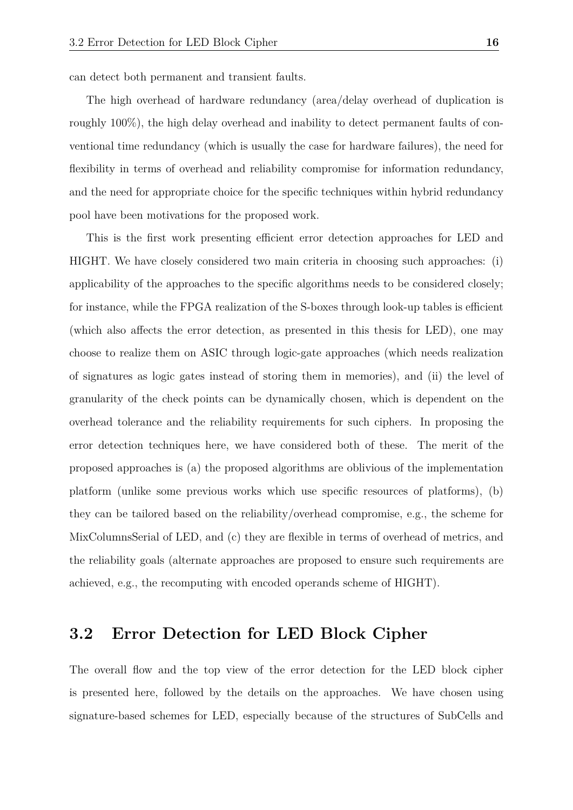can detect both permanent and transient faults.

The high overhead of hardware redundancy (area/delay overhead of duplication is roughly 100%), the high delay overhead and inability to detect permanent faults of conventional time redundancy (which is usually the case for hardware failures), the need for flexibility in terms of overhead and reliability compromise for information redundancy, and the need for appropriate choice for the specific techniques within hybrid redundancy pool have been motivations for the proposed work.

This is the first work presenting efficient error detection approaches for LED and HIGHT. We have closely considered two main criteria in choosing such approaches: (i) applicability of the approaches to the specific algorithms needs to be considered closely; for instance, while the FPGA realization of the S-boxes through look-up tables is efficient (which also affects the error detection, as presented in this thesis for LED), one may choose to realize them on ASIC through logic-gate approaches (which needs realization of signatures as logic gates instead of storing them in memories), and (ii) the level of granularity of the check points can be dynamically chosen, which is dependent on the overhead tolerance and the reliability requirements for such ciphers. In proposing the error detection techniques here, we have considered both of these. The merit of the proposed approaches is (a) the proposed algorithms are oblivious of the implementation platform (unlike some previous works which use specific resources of platforms), (b) they can be tailored based on the reliability/overhead compromise, e.g., the scheme for MixColumnsSerial of LED, and (c) they are flexible in terms of overhead of metrics, and the reliability goals (alternate approaches are proposed to ensure such requirements are achieved, e.g., the recomputing with encoded operands scheme of HIGHT).

### <span id="page-18-0"></span>**3.2 Error Detection for LED Block Cipher**

The overall flow and the top view of the error detection for the LED block cipher is presented here, followed by the details on the approaches. We have chosen using signature-based schemes for LED, especially because of the structures of SubCells and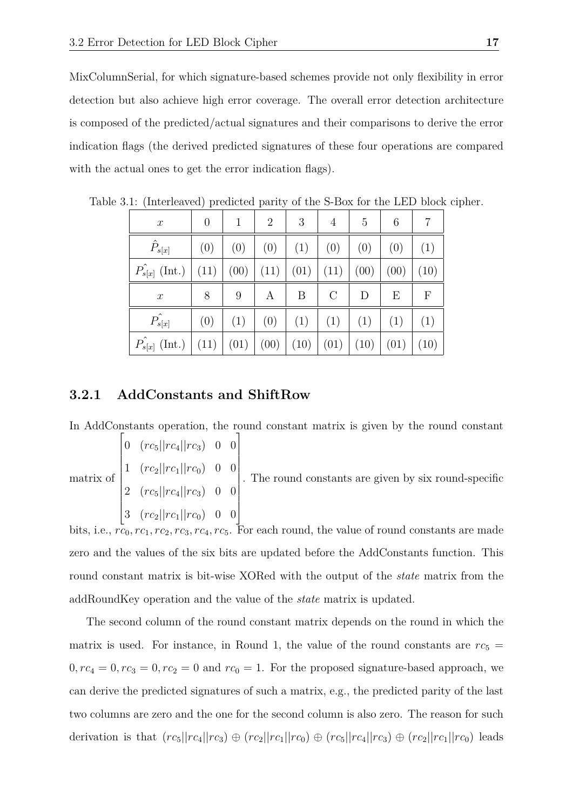MixColumnSerial, for which signature-based schemes provide not only flexibility in error detection but also achieve high error coverage. The overall error detection architecture is composed of the predicted/actual signatures and their comparisons to derive the error indication flags (the derived predicted signatures of these four operations are compared with the actual ones to get the error indication flags).

| $\boldsymbol{x}$        | $\overline{0}$ | 1    | $\overline{2}$ | 3    | 4       | 5    | 6    | 7            |
|-------------------------|----------------|------|----------------|------|---------|------|------|--------------|
| $\hat{P}_{s[x]}$        | (0)            | (0)  | (0)            | (1)  | (0)     | (0)  | (0)  | (1)          |
| $\hat{P}_{s[x]}$ (Int.) | (11)           | (00) | (11)           | (01) | (11)    | (00) | (00) | (10)         |
| $\boldsymbol{x}$        | 8              | 9    | А              | B    | $\rm C$ | D    | E    | $\mathbf{F}$ |
| $\hat{P_{s[x]}}$        | (0)            | (1)  | (0)            | (1)  | (1)     | (1)  | (1)  | (1)          |
| $\hat{P}_{s[x]}$ (Int.) | (11)           | (01) | (00)           | (10) | (01)    | (10) | (01) | (10)         |

<span id="page-19-1"></span>Table 3.1: (Interleaved) predicted parity of the S-Box for the LED block cipher.

### <span id="page-19-0"></span>**3.2.1 AddConstants and ShiftRow**

In AddConstants operation, the round constant matrix is given by the round constant

|  | $\begin{vmatrix} 0 & (rc_5  rc_4  rc_3) & 0 & 0 \end{vmatrix}$     |  |                                                                                                                                                                  |
|--|--------------------------------------------------------------------|--|------------------------------------------------------------------------------------------------------------------------------------------------------------------|
|  |                                                                    |  |                                                                                                                                                                  |
|  |                                                                    |  | matrix of $\begin{bmatrix} 1 & (rc_2  rc_1  rc_0) & 0 & 0 \\ 2 & (rc_5  rc_4  rc_3) & 0 & 0 \end{bmatrix}$ . The round constants are given by six round-specific |
|  | $\begin{vmatrix} 3 & (rc_2    rc_1    rc_0) & 0 & 0 \end{vmatrix}$ |  |                                                                                                                                                                  |

bits, i.e.,  $rc_0$ ,  $rc_1$ ,  $rc_2$ ,  $rc_3$ ,  $rc_4$ ,  $rc_5$ . For each round, the value of round constants are made zero and the values of the six bits are updated before the AddConstants function. This round constant matrix is bit-wise XORed with the output of the *state* matrix from the addRoundKey operation and the value of the *state* matrix is updated.

The second column of the round constant matrix depends on the round in which the matrix is used. For instance, in Round 1, the value of the round constants are  $rc_5$  =  $0, rc<sub>4</sub> = 0, rc<sub>3</sub> = 0, rc<sub>2</sub> = 0$  and  $rc<sub>0</sub> = 1$ . For the proposed signature-based approach, we can derive the predicted signatures of such a matrix, e.g., the predicted parity of the last two columns are zero and the one for the second column is also zero. The reason for such derivation is that  $(rc_5||rc_4||rc_3) \oplus (rc_2||rc_1||rc_0) \oplus (rc_5||rc_4||rc_3) \oplus (rc_2||rc_1||rc_0)$  leads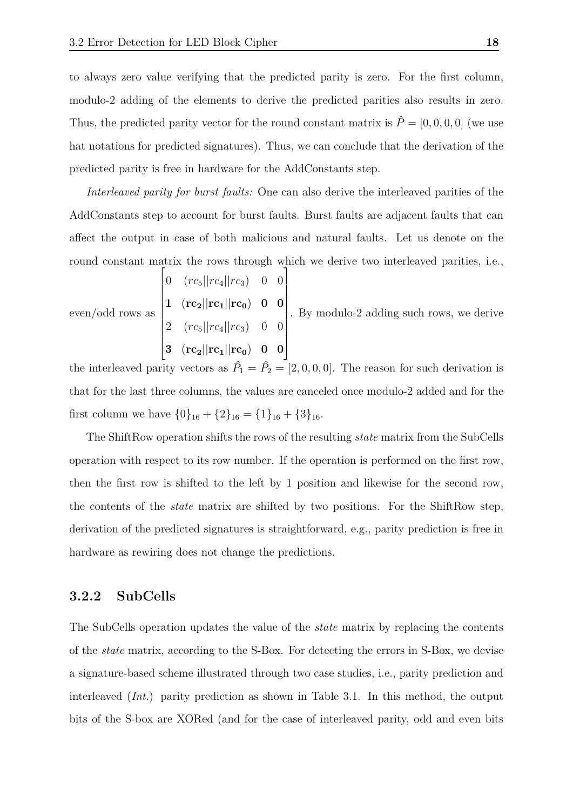to always zero value verifying that the predicted parity is zero. For the first column, modulo-2 adding of the elements to derive the predicted parities also results in zero. Thus, the predicted parity vector for the round constant matrix is  $\hat{P} = [0, 0, 0, 0]$  (we use hat notations for predicted signatures). Thus, we can conclude that the derivation of the predicted parity is free in hardware for the AddConstants step.

*Interleaved parity for burst faults:* One can also derive the interleaved parities of the AddConstants step to account for burst faults. Burst faults are adjacent faults that can affect the output in case of both malicious and natural faults. Let us denote on the round constant matrix the rows through which we derive two interleaved parities, i.e.,

even/odd rows as\n
$$
\begin{bmatrix}\n0 & (rc_5||rc_4||rc_3) & 0 & 0 \\
1 & (rc_2||rc_1||rc_0) & 0 & 0 \\
2 & (rc_5||rc_4||rc_3) & 0 & 0 \\
3 & (rc_2||rc_1||rc_0) & 0 & 0\n\end{bmatrix}
$$
. By modulo-2 adding such rows, we derive

the interleaved parity vectors as  $\hat{P}_1 = \hat{P}_2 = [2, 0, 0, 0]$ . The reason for such derivation is that for the last three columns, the values are canceled once modulo-2 added and for the first column we have  $\{0\}_{16} + \{2\}_{16} = \{1\}_{16} + \{3\}_{16}.$ 

The ShiftRow operation shifts the rows of the resulting *state* matrix from the SubCells operation with respect to its row number. If the operation is performed on the first row, then the first row is shifted to the left by 1 position and likewise for the second row, the contents of the *state* matrix are shifted by two positions. For the ShiftRow step, derivation of the predicted signatures is straightforward, e.g., parity prediction is free in hardware as rewiring does not change the predictions.

### <span id="page-20-0"></span>**3.2.2 SubCells**

The SubCells operation updates the value of the *state* matrix by replacing the contents of the *state* matrix, according to the S-Box. For detecting the errors in S-Box, we devise a signature-based scheme illustrated through two case studies, i.e., parity prediction and interleaved (*Int.*) parity prediction as shown in Table 3.1. In this method, the output bits of the S-box are XORed (and for the case of interleaved parity, odd and even bits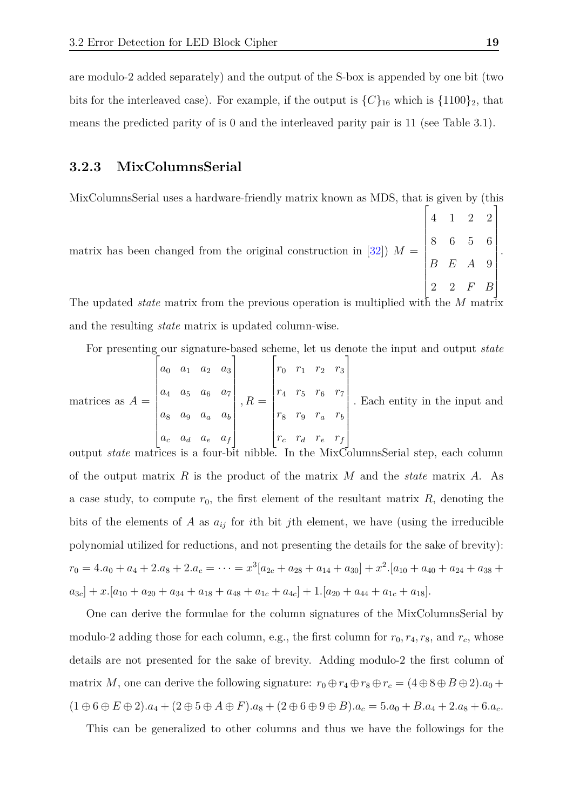are modulo-2 added separately) and the output of the S-box is appended by one bit (two bits for the interleaved case). For example, if the output is  ${C}_{16}$  which is  ${1100}_{2}$ , that means the predicted parity of is 0 and the interleaved parity pair is 11 (see Table 3.1).

### <span id="page-21-0"></span>**3.2.3 MixColumnsSerial**

MixColumnsSerial uses a hardware-friendly matrix known as MDS, that is given by (this

matrix has been changed from the original construction in  $[32]$ )  $M =$  4 1 2 2 8 6 5 6 *B E A* 9 2 2 *F B*

The updated *state* matrix from the previous operation is multiplied with the *M* matrix and the resulting *state* matrix is updated column-wise.

For presenting our signature-based scheme, let us denote the input and output *state*

matrices as 
$$
A = \begin{bmatrix} a_0 & a_1 & a_2 & a_3 \ a_4 & a_5 & a_6 & a_7 \ a_8 & a_9 & a_a & a_b \ a_c & a_d & a_e & a_f \end{bmatrix}
$$
,  $R = \begin{bmatrix} r_0 & r_1 & r_2 & r_3 \ r_4 & r_5 & r_6 & r_7 \ r_8 & r_9 & r_a & r_b \ r_c & r_d & r_e & r_f \end{bmatrix}$ . Each entity in the input and

output *state* matrices is a four-bit nibble. In the MixColumnsSerial step, each column of the output matrix *R* is the product of the matrix *M* and the *state* matrix *A*. As a case study, to compute  $r_0$ , the first element of the resultant matrix  $R$ , denoting the bits of the elements of *A* as  $a_{ij}$  for *i*th bit *j*th element, we have (using the irreducible polynomial utilized for reductions, and not presenting the details for the sake of brevity):  $r_0 = 4 \cdot a_0 + a_4 + 2 \cdot a_8 + 2 \cdot a_c = \cdots = x^3 \left[ a_{2c} + a_{28} + a_{14} + a_{30} \right] + x^2 \cdot \left[ a_{10} + a_{40} + a_{24} + a_{38} + a_{47} + a_{48} + a_{49} + a_{49} + a_{41} + a_{41} + a_{42} \right]$  $a_{3c}$ ] + *x*.[ $a_{10}$  +  $a_{20}$  +  $a_{34}$  +  $a_{18}$  +  $a_{48}$  +  $a_{1c}$  +  $a_{4c}$ ] + 1.[ $a_{20}$  +  $a_{44}$  +  $a_{1c}$  +  $a_{18}$ ].

One can derive the formulae for the column signatures of the MixColumnsSerial by modulo-2 adding those for each column, e.g., the first column for  $r_0, r_4, r_8$ , and  $r_c$ , whose details are not presented for the sake of brevity. Adding modulo-2 the first column of matrix *M*, one can derive the following signature:  $r_0 \oplus r_4 \oplus r_8 \oplus r_c = (4 \oplus 8 \oplus B \oplus 2) a_0 +$  $(1 \oplus 6 \oplus E \oplus 2).a_4 + (2 \oplus 5 \oplus A \oplus F).a_8 + (2 \oplus 6 \oplus 9 \oplus B).a_c = 5.a_0 + B.a_4 + 2.a_8 + 6.a_c.$ 

This can be generalized to other columns and thus we have the followings for the

1

 .

 $\sqrt{ }$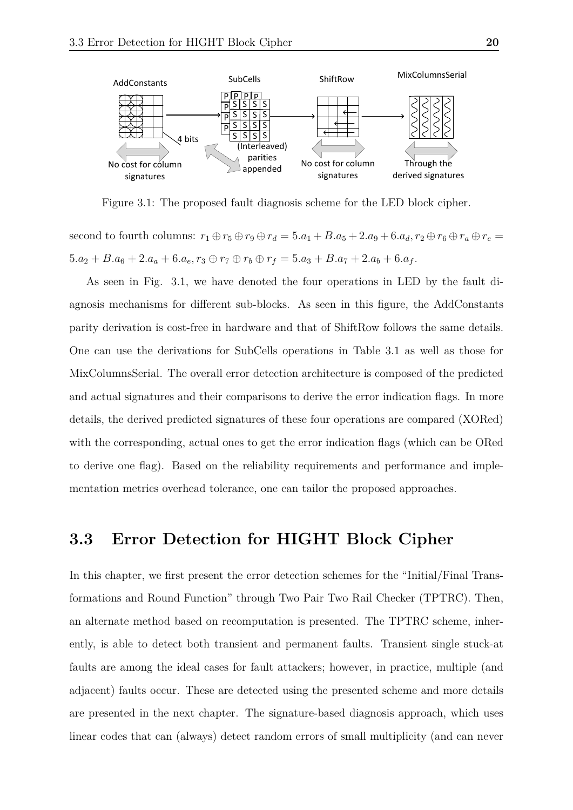

<span id="page-22-1"></span>Figure 3.1: The proposed fault diagnosis scheme for the LED block cipher.

second to fourth columns:  $r_1 \oplus r_5 \oplus r_9 \oplus r_d = 5.a_1 + B.a_5 + 2.a_9 + 6.a_d, r_2 \oplus r_6 \oplus r_a \oplus r_e =$  $5.a_2 + B.a_6 + 2.a_a + 6.a_e, r_3 \oplus r_7 \oplus r_b \oplus r_f = 5.a_3 + B.a_7 + 2.a_b + 6.a_f.$ 

As seen in Fig. 3.1, we have denoted the four operations in LED by the fault diagnosis mechanisms for different sub-blocks. As seen in this figure, the AddConstants parity derivation is cost-free in hardware and that of ShiftRow follows the same details. One can use the derivations for SubCells operations in Table 3.1 as well as those for MixColumnsSerial. The overall error detection architecture is composed of the predicted and actual signatures and their comparisons to derive the error indication flags. In more details, the derived predicted signatures of these four operations are compared (XORed) with the corresponding, actual ones to get the error indication flags (which can be ORed to derive one flag). Based on the reliability requirements and performance and implementation metrics overhead tolerance, one can tailor the proposed approaches.

### <span id="page-22-0"></span>**3.3 Error Detection for HIGHT Block Cipher**

In this chapter, we first present the error detection schemes for the "Initial/Final Transformations and Round Function" through Two Pair Two Rail Checker (TPTRC). Then, an alternate method based on recomputation is presented. The TPTRC scheme, inherently, is able to detect both transient and permanent faults. Transient single stuck-at faults are among the ideal cases for fault attackers; however, in practice, multiple (and adjacent) faults occur. These are detected using the presented scheme and more details are presented in the next chapter. The signature-based diagnosis approach, which uses linear codes that can (always) detect random errors of small multiplicity (and can never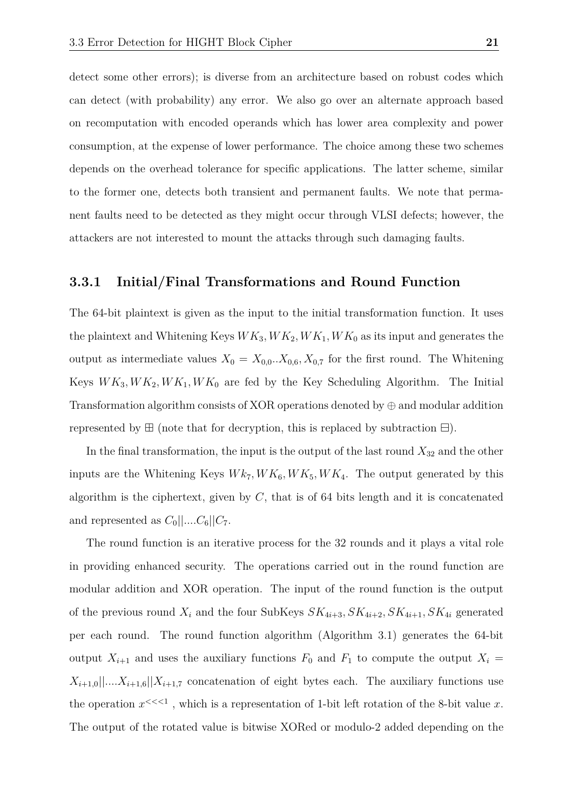detect some other errors); is diverse from an architecture based on robust codes which can detect (with probability) any error. We also go over an alternate approach based on recomputation with encoded operands which has lower area complexity and power consumption, at the expense of lower performance. The choice among these two schemes depends on the overhead tolerance for specific applications. The latter scheme, similar to the former one, detects both transient and permanent faults. We note that permanent faults need to be detected as they might occur through VLSI defects; however, the attackers are not interested to mount the attacks through such damaging faults.

### <span id="page-23-0"></span>**3.3.1 Initial/Final Transformations and Round Function**

The 64-bit plaintext is given as the input to the initial transformation function. It uses the plaintext and Whitening Keys  $WK_3, WK_2, WK_1, WK_0$  as its input and generates the output as intermediate values  $X_0 = X_{0,0}$ ... $X_{0,6}$ ,  $X_{0,7}$  for the first round. The Whitening Keys  $WK_3, WK_2, WK_1, WK_0$  are fed by the Key Scheduling Algorithm. The Initial Transformation algorithm consists of XOR operations denoted by  $\oplus$  and modular addition represented by  $\boxplus$  (note that for decryption, this is replaced by subtraction  $\boxminus$ ).

In the final transformation, the input is the output of the last round  $X_{32}$  and the other inputs are the Whitening Keys  $W_{\kappa_7}$ ,  $W_{\kappa_6}$ ,  $W_{\kappa_5}$ ,  $W_{\kappa_4}$ . The output generated by this algorithm is the ciphertext, given by *C*, that is of 64 bits length and it is concatenated and represented as  $C_0||...C_6||C_7$ .

The round function is an iterative process for the 32 rounds and it plays a vital role in providing enhanced security. The operations carried out in the round function are modular addition and XOR operation. The input of the round function is the output of the previous round  $X_i$  and the four SubKeys  $SK_{4i+3}, SK_{4i+2}, SK_{4i+1}, SK_{4i}$  generated per each round. The round function algorithm (Algorithm 3.1) generates the 64-bit output  $X_{i+1}$  and uses the auxiliary functions  $F_0$  and  $F_1$  to compute the output  $X_i =$  $X_{i+1,0}$ ||*...*. $X_{i+1,6}$ || $X_{i+1,7}$  concatenation of eight bytes each. The auxiliary functions use the operation  $x^{\leq \leq 1}$ , which is a representation of 1-bit left rotation of the 8-bit value *x*. The output of the rotated value is bitwise XORed or modulo-2 added depending on the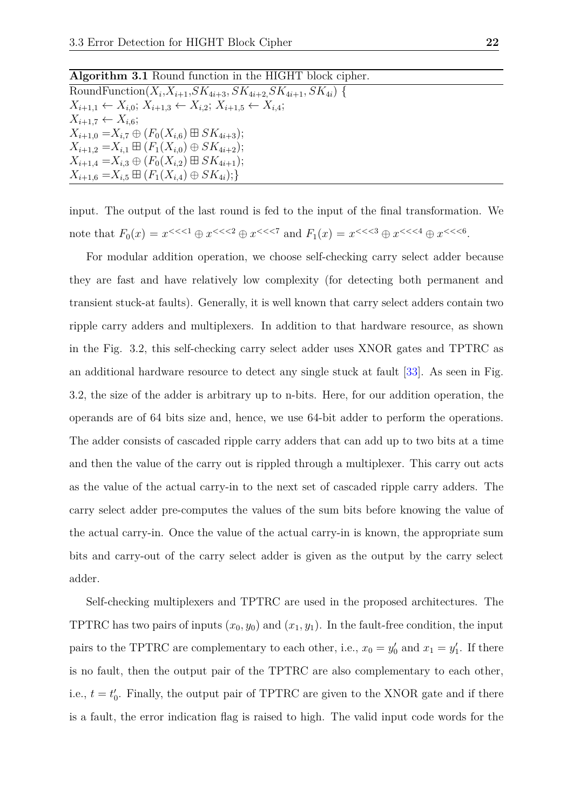| Algorithm 3.1 Round function in the HIGHT block cipher.                                     |
|---------------------------------------------------------------------------------------------|
| RoundFunction( $X_i, X_{i+1}, SK_{4i+3}, SK_{4i+2}, SK_{4i+1}, SK_{4i}$ ) {                 |
| $X_{i+1,1} \leftarrow X_{i,0}; X_{i+1,3} \leftarrow X_{i,2}; X_{i+1,5} \leftarrow X_{i,4};$ |
| $X_{i+1,7} \leftarrow X_{i,6}$                                                              |
| $X_{i+1,0} = X_{i,7} \oplus (F_0(X_{i,6}) \boxplus SK_{4i+3});$                             |
| $X_{i+1,2} = X_{i,1} \boxplus (F_1(X_{i,0}) \oplus SK_{4i+2});$                             |
| $X_{i+1,4} = X_{i,3} \oplus (F_0(X_{i,2}) \boxplus SK_{4i+1});$                             |
| $X_{i+1,6} = X_{i,5} \boxplus (F_1(X_{i,4}) \oplus SK_{4i});$                               |

input. The output of the last round is fed to the input of the final transformation. We note that  $F_0(x) = x^{<<1} \oplus x^{<<2} \oplus x^{<<7}$  and  $F_1(x) = x^{<<3} \oplus x^{<<4} \oplus x^{<<6}$ .

For modular addition operation, we choose self-checking carry select adder because they are fast and have relatively low complexity (for detecting both permanent and transient stuck-at faults). Generally, it is well known that carry select adders contain two ripple carry adders and multiplexers. In addition to that hardware resource, as shown in the Fig. 3.2, this self-checking carry select adder uses XNOR gates and TPTRC as an additional hardware resource to detect any single stuck at fault [\[33\]](#page-40-7). As seen in Fig. 3.2, the size of the adder is arbitrary up to n-bits. Here, for our addition operation, the operands are of 64 bits size and, hence, we use 64-bit adder to perform the operations. The adder consists of cascaded ripple carry adders that can add up to two bits at a time and then the value of the carry out is rippled through a multiplexer. This carry out acts as the value of the actual carry-in to the next set of cascaded ripple carry adders. The carry select adder pre-computes the values of the sum bits before knowing the value of the actual carry-in. Once the value of the actual carry-in is known, the appropriate sum bits and carry-out of the carry select adder is given as the output by the carry select adder.

Self-checking multiplexers and TPTRC are used in the proposed architectures. The TPTRC has two pairs of inputs  $(x_0, y_0)$  and  $(x_1, y_1)$ . In the fault-free condition, the input pairs to the TPTRC are complementary to each other, i.e.,  $x_0 = y'_0$  and  $x_1 = y'_1$ . If there is no fault, then the output pair of the TPTRC are also complementary to each other, i.e.,  $t = t_0'$ . Finally, the output pair of TPTRC are given to the XNOR gate and if there is a fault, the error indication flag is raised to high. The valid input code words for the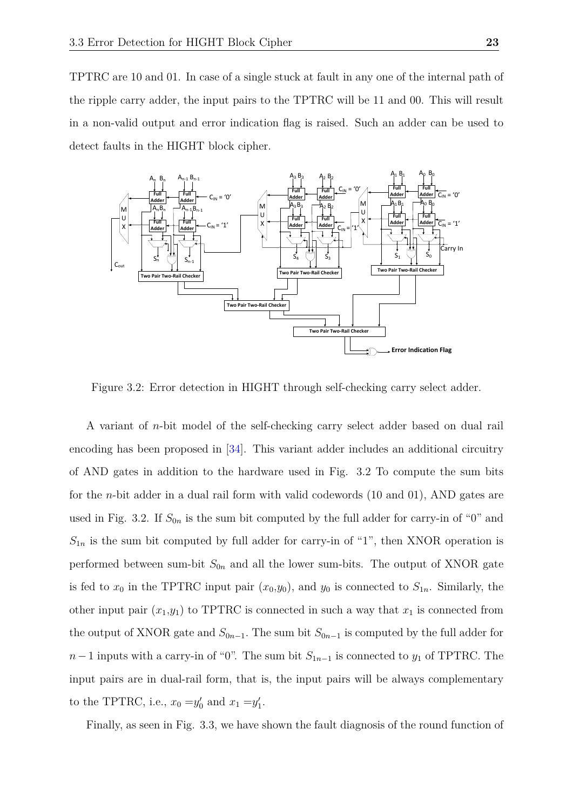TPTRC are 10 and 01. In case of a single stuck at fault in any one of the internal path of the ripple carry adder, the input pairs to the TPTRC will be 11 and 00. This will result in a non-valid output and error indication flag is raised. Such an adder can be used to detect faults in the HIGHT block cipher.



<span id="page-25-0"></span>Figure 3.2: Error detection in HIGHT through self-checking carry select adder.

A variant of *n*-bit model of the self-checking carry select adder based on dual rail encoding has been proposed in [\[34\]](#page-41-0). This variant adder includes an additional circuitry of AND gates in addition to the hardware used in Fig. 3.2 To compute the sum bits for the *n*-bit adder in a dual rail form with valid codewords (10 and 01), AND gates are used in Fig. 3.2. If  $S_{0n}$  is the sum bit computed by the full adder for carry-in of "0" and  $S_{1n}$  is the sum bit computed by full adder for carry-in of "1", then XNOR operation is performed between sum-bit  $S_{0n}$  and all the lower sum-bits. The output of XNOR gate is fed to  $x_0$  in the TPTRC input pair  $(x_0,y_0)$ , and  $y_0$  is connected to  $S_{1n}$ . Similarly, the other input pair  $(x_1,y_1)$  to TPTRC is connected in such a way that  $x_1$  is connected from the output of XNOR gate and  $S_{0n-1}$ . The sum bit  $S_{0n-1}$  is computed by the full adder for  $n-1$  inputs with a carry-in of "0". The sum bit  $S_{1n-1}$  is connected to  $y_1$  of TPTRC. The input pairs are in dual-rail form, that is, the input pairs will be always complementary to the TPTRC, i.e.,  $x_0 = y'_0$  and  $x_1 = y'_1$ .

Finally, as seen in Fig. 3.3, we have shown the fault diagnosis of the round function of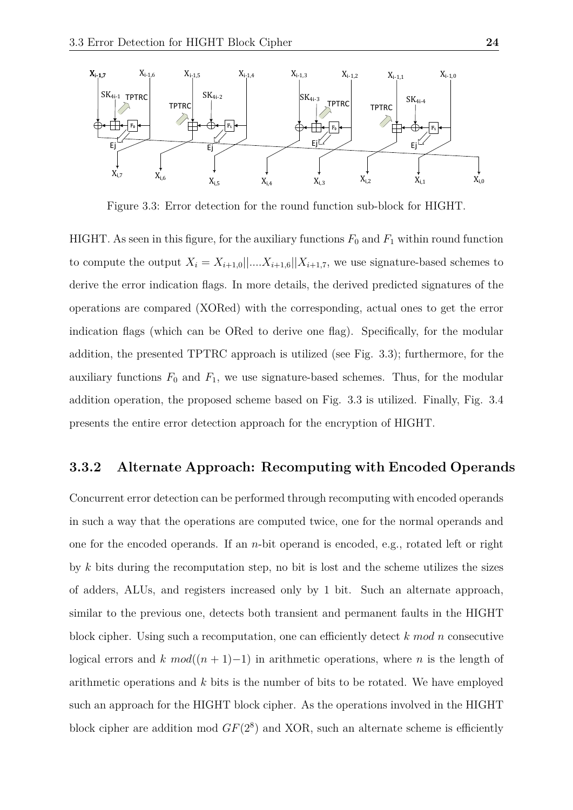

<span id="page-26-1"></span>Figure 3.3: Error detection for the round function sub-block for HIGHT.

HIGHT. As seen in this figure, for the auxiliary functions  $F_0$  and  $F_1$  within round function to compute the output  $X_i = X_{i+1,0}||...X_{i+1,6}||X_{i+1,7}$ , we use signature-based schemes to derive the error indication flags. In more details, the derived predicted signatures of the operations are compared (XORed) with the corresponding, actual ones to get the error indication flags (which can be ORed to derive one flag). Specifically, for the modular addition, the presented TPTRC approach is utilized (see Fig. 3.3); furthermore, for the auxiliary functions  $F_0$  and  $F_1$ , we use signature-based schemes. Thus, for the modular addition operation, the proposed scheme based on Fig. 3.3 is utilized. Finally, Fig. 3.4 presents the entire error detection approach for the encryption of HIGHT.

### <span id="page-26-0"></span>**3.3.2 Alternate Approach: Recomputing with Encoded Operands**

Concurrent error detection can be performed through recomputing with encoded operands in such a way that the operations are computed twice, one for the normal operands and one for the encoded operands. If an *n*-bit operand is encoded, e.g., rotated left or right by *k* bits during the recomputation step, no bit is lost and the scheme utilizes the sizes of adders, ALUs, and registers increased only by 1 bit. Such an alternate approach, similar to the previous one, detects both transient and permanent faults in the HIGHT block cipher. Using such a recomputation, one can efficiently detect *k mod n* consecutive logical errors and *k*  $mod((n + 1)-1)$  in arithmetic operations, where *n* is the length of arithmetic operations and *k* bits is the number of bits to be rotated. We have employed such an approach for the HIGHT block cipher. As the operations involved in the HIGHT block cipher are addition mod  $GF(2^8)$  and XOR, such an alternate scheme is efficiently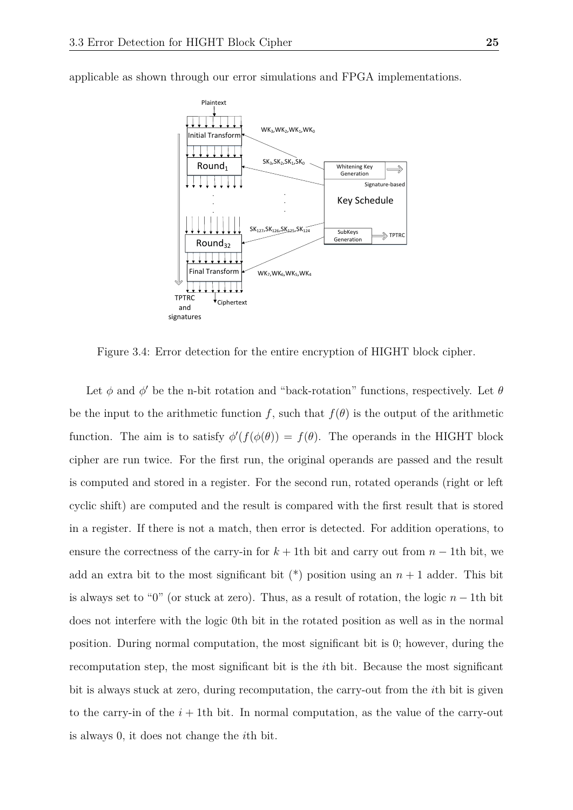

applicable as shown through our error simulations and FPGA implementations.

<span id="page-27-0"></span>Figure 3.4: Error detection for the entire encryption of HIGHT block cipher.

Let  $\phi$  and  $\phi'$  be the n-bit rotation and "back-rotation" functions, respectively. Let  $\theta$ be the input to the arithmetic function *f*, such that  $f(\theta)$  is the output of the arithmetic function. The aim is to satisfy  $\phi'(f(\phi(\theta))) = f(\theta)$ . The operands in the HIGHT block cipher are run twice. For the first run, the original operands are passed and the result is computed and stored in a register. For the second run, rotated operands (right or left cyclic shift) are computed and the result is compared with the first result that is stored in a register. If there is not a match, then error is detected. For addition operations, to ensure the correctness of the carry-in for  $k + 1$ th bit and carry out from  $n - 1$ th bit, we add an extra bit to the most significant bit  $(*)$  position using an  $n + 1$  adder. This bit is always set to "0" (or stuck at zero). Thus, as a result of rotation, the logic *n* − 1th bit does not interfere with the logic 0th bit in the rotated position as well as in the normal position. During normal computation, the most significant bit is 0; however, during the recomputation step, the most significant bit is the *i*th bit. Because the most significant bit is always stuck at zero, during recomputation, the carry-out from the *i*th bit is given to the carry-in of the  $i+1$ th bit. In normal computation, as the value of the carry-out is always 0, it does not change the *i*th bit.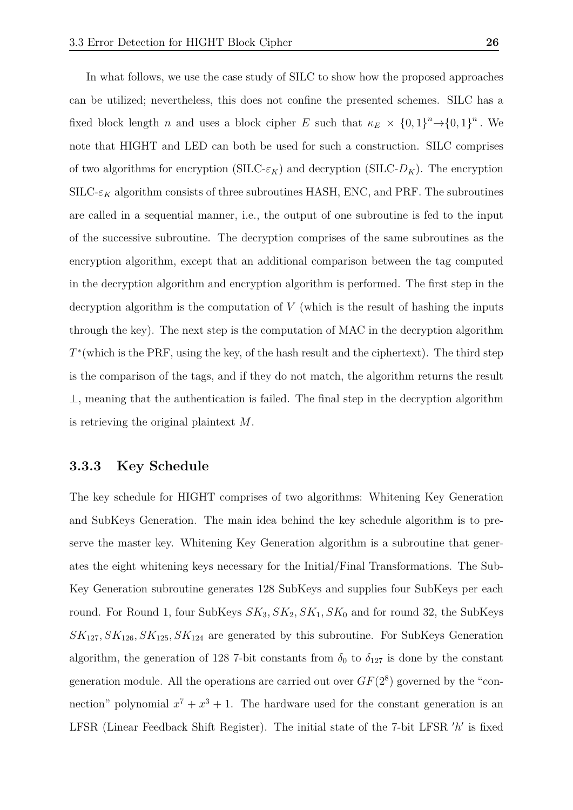In what follows, we use the case study of SILC to show how the proposed approaches can be utilized; nevertheless, this does not confine the presented schemes. SILC has a fixed block length *n* and uses a block cipher *E* such that  $\kappa_E \times \{0,1\}^n \rightarrow \{0,1\}^n$ . We note that HIGHT and LED can both be used for such a construction. SILC comprises of two algorithms for encryption (SILC- $\varepsilon_K$ ) and decryption (SILC- $D_K$ ). The encryption  $SILC-*\varepsilon*<sub>K</sub>$  algorithm consists of three subroutines HASH, ENC, and PRF. The subroutines are called in a sequential manner, i.e., the output of one subroutine is fed to the input of the successive subroutine. The decryption comprises of the same subroutines as the encryption algorithm, except that an additional comparison between the tag computed in the decryption algorithm and encryption algorithm is performed. The first step in the decryption algorithm is the computation of *V* (which is the result of hashing the inputs through the key). The next step is the computation of MAC in the decryption algorithm *T*<sup>\*</sup>(which is the PRF, using the key, of the hash result and the ciphertext). The third step is the comparison of the tags, and if they do not match, the algorithm returns the result  $\perp$ , meaning that the authentication is failed. The final step in the decryption algorithm is retrieving the original plaintext *M*.

### <span id="page-28-0"></span>**3.3.3 Key Schedule**

The key schedule for HIGHT comprises of two algorithms: Whitening Key Generation and SubKeys Generation. The main idea behind the key schedule algorithm is to preserve the master key. Whitening Key Generation algorithm is a subroutine that generates the eight whitening keys necessary for the Initial/Final Transformations. The Sub-Key Generation subroutine generates 128 SubKeys and supplies four SubKeys per each round. For Round 1, four SubKeys  $SK_3, SK_2, SK_1, SK_0$  and for round 32, the SubKeys  $SK_{127}, SK_{126}, SK_{125}, SK_{124}$  are generated by this subroutine. For SubKeys Generation algorithm, the generation of 128 7-bit constants from  $\delta_0$  to  $\delta_{127}$  is done by the constant generation module. All the operations are carried out over  $GF(2<sup>8</sup>)$  governed by the "connection" polynomial  $x^7 + x^3 + 1$ . The hardware used for the constant generation is an LFSR (Linear Feedback Shift Register). The initial state of the 7-bit LFSR 'h' is fixed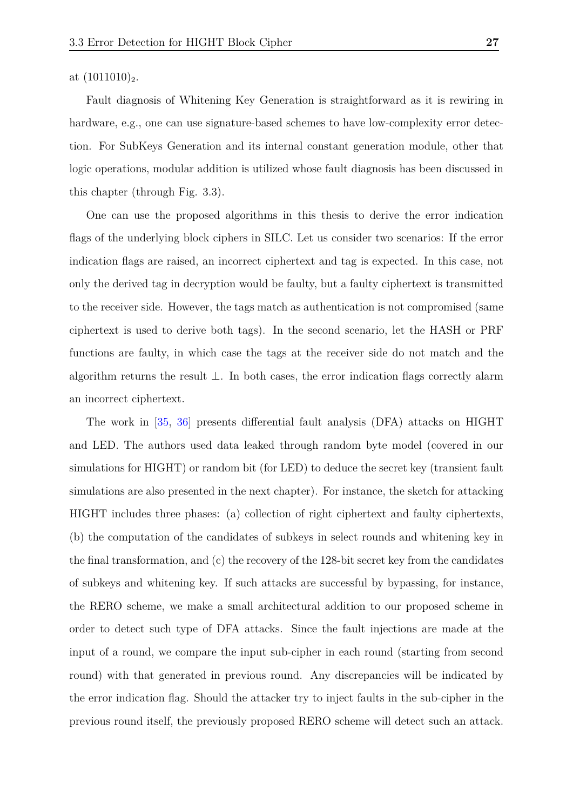### at  $(1011010)_2$ .

Fault diagnosis of Whitening Key Generation is straightforward as it is rewiring in hardware, e.g., one can use signature-based schemes to have low-complexity error detection. For SubKeys Generation and its internal constant generation module, other that logic operations, modular addition is utilized whose fault diagnosis has been discussed in this chapter (through Fig. 3.3).

One can use the proposed algorithms in this thesis to derive the error indication flags of the underlying block ciphers in SILC. Let us consider two scenarios: If the error indication flags are raised, an incorrect ciphertext and tag is expected. In this case, not only the derived tag in decryption would be faulty, but a faulty ciphertext is transmitted to the receiver side. However, the tags match as authentication is not compromised (same ciphertext is used to derive both tags). In the second scenario, let the HASH or PRF functions are faulty, in which case the tags at the receiver side do not match and the algorithm returns the result ⊥. In both cases, the error indication flags correctly alarm an incorrect ciphertext.

The work in [\[35,](#page-41-1) [36\]](#page-41-2) presents differential fault analysis (DFA) attacks on HIGHT and LED. The authors used data leaked through random byte model (covered in our simulations for HIGHT) or random bit (for LED) to deduce the secret key (transient fault simulations are also presented in the next chapter). For instance, the sketch for attacking HIGHT includes three phases: (a) collection of right ciphertext and faulty ciphertexts, (b) the computation of the candidates of subkeys in select rounds and whitening key in the final transformation, and (c) the recovery of the 128-bit secret key from the candidates of subkeys and whitening key. If such attacks are successful by bypassing, for instance, the RERO scheme, we make a small architectural addition to our proposed scheme in order to detect such type of DFA attacks. Since the fault injections are made at the input of a round, we compare the input sub-cipher in each round (starting from second round) with that generated in previous round. Any discrepancies will be indicated by the error indication flag. Should the attacker try to inject faults in the sub-cipher in the previous round itself, the previously proposed RERO scheme will detect such an attack.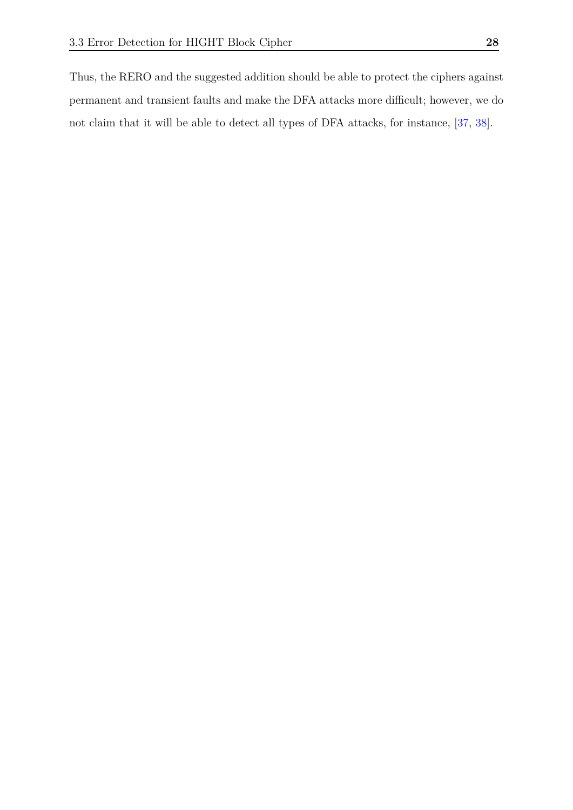Thus, the RERO and the suggested addition should be able to protect the ciphers against permanent and transient faults and make the DFA attacks more difficult; however, we do not claim that it will be able to detect all types of DFA attacks, for instance, [\[37,](#page-41-3) [38\]](#page-41-4).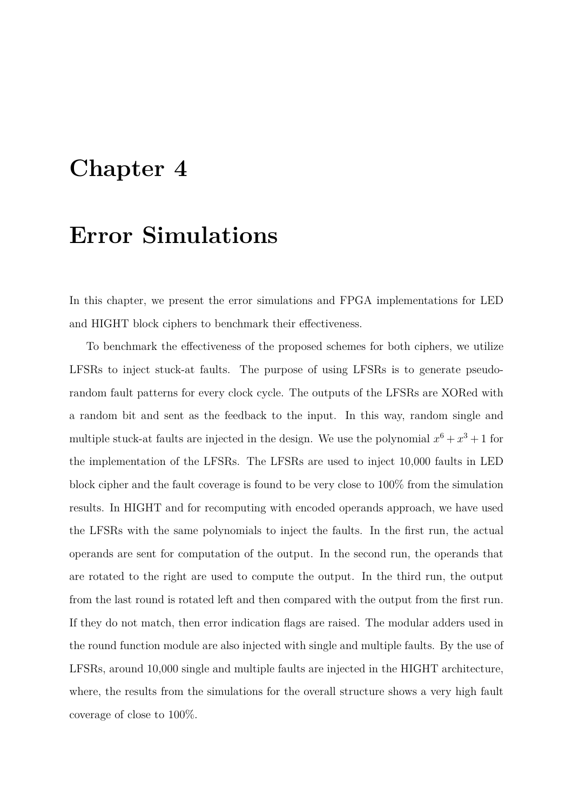## <span id="page-31-0"></span>**Chapter 4**

## **Error Simulations**

In this chapter, we present the error simulations and FPGA implementations for LED and HIGHT block ciphers to benchmark their effectiveness.

To benchmark the effectiveness of the proposed schemes for both ciphers, we utilize LFSRs to inject stuck-at faults. The purpose of using LFSRs is to generate pseudorandom fault patterns for every clock cycle. The outputs of the LFSRs are XORed with a random bit and sent as the feedback to the input. In this way, random single and multiple stuck-at faults are injected in the design. We use the polynomial  $x^6 + x^3 + 1$  for the implementation of the LFSRs. The LFSRs are used to inject 10,000 faults in LED block cipher and the fault coverage is found to be very close to 100% from the simulation results. In HIGHT and for recomputing with encoded operands approach, we have used the LFSRs with the same polynomials to inject the faults. In the first run, the actual operands are sent for computation of the output. In the second run, the operands that are rotated to the right are used to compute the output. In the third run, the output from the last round is rotated left and then compared with the output from the first run. If they do not match, then error indication flags are raised. The modular adders used in the round function module are also injected with single and multiple faults. By the use of LFSRs, around 10,000 single and multiple faults are injected in the HIGHT architecture, where, the results from the simulations for the overall structure shows a very high fault coverage of close to 100%.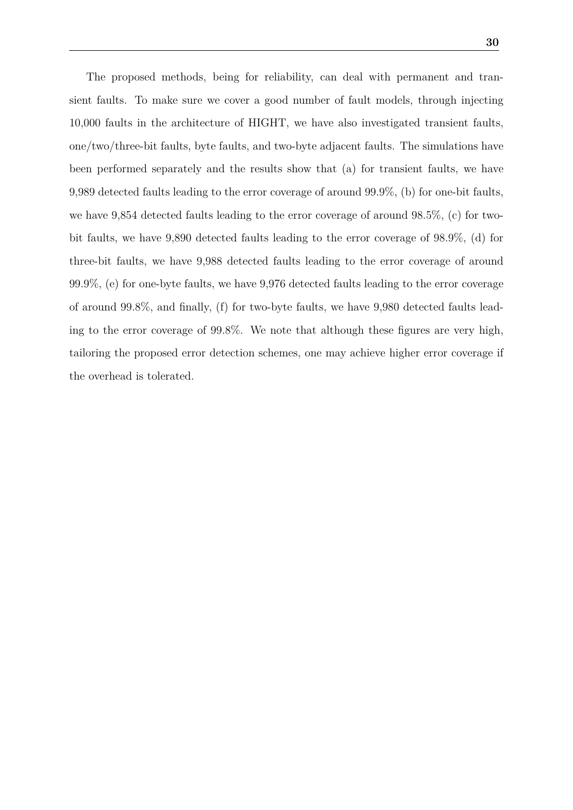The proposed methods, being for reliability, can deal with permanent and transient faults. To make sure we cover a good number of fault models, through injecting 10,000 faults in the architecture of HIGHT, we have also investigated transient faults, one/two/three-bit faults, byte faults, and two-byte adjacent faults. The simulations have been performed separately and the results show that (a) for transient faults, we have 9,989 detected faults leading to the error coverage of around 99.9%, (b) for one-bit faults, we have 9,854 detected faults leading to the error coverage of around 98.5%, (c) for twobit faults, we have 9,890 detected faults leading to the error coverage of 98.9%, (d) for three-bit faults, we have 9,988 detected faults leading to the error coverage of around 99.9%, (e) for one-byte faults, we have 9,976 detected faults leading to the error coverage of around 99.8%, and finally, (f) for two-byte faults, we have 9,980 detected faults leading to the error coverage of 99.8%. We note that although these figures are very high, tailoring the proposed error detection schemes, one may achieve higher error coverage if the overhead is tolerated.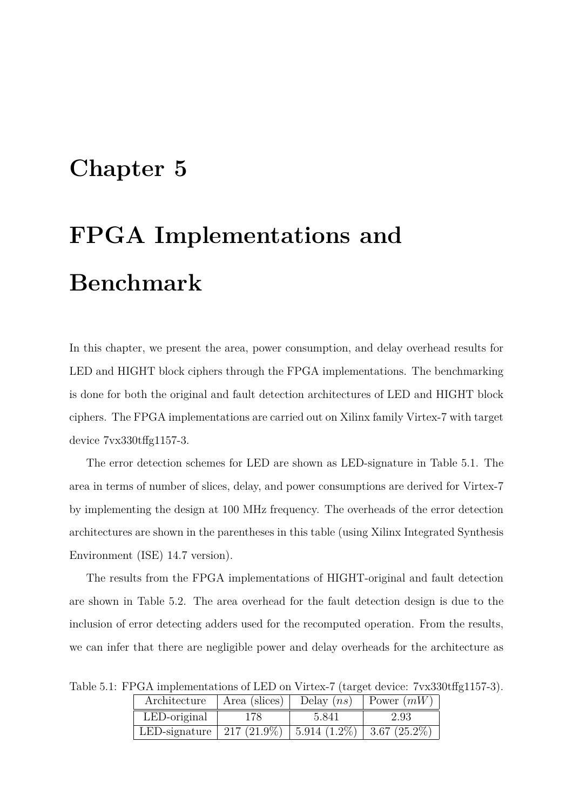## <span id="page-33-0"></span>**Chapter 5**

# **FPGA Implementations and Benchmark**

In this chapter, we present the area, power consumption, and delay overhead results for LED and HIGHT block ciphers through the FPGA implementations. The benchmarking is done for both the original and fault detection architectures of LED and HIGHT block ciphers. The FPGA implementations are carried out on Xilinx family Virtex-7 with target device 7vx330tffg1157-3.

The error detection schemes for LED are shown as LED-signature in Table 5.1. The area in terms of number of slices, delay, and power consumptions are derived for Virtex-7 by implementing the design at 100 MHz frequency. The overheads of the error detection architectures are shown in the parentheses in this table (using Xilinx Integrated Synthesis Environment (ISE) 14.7 version).

The results from the FPGA implementations of HIGHT-original and fault detection are shown in Table 5.2. The area overhead for the fault detection design is due to the inclusion of error detecting adders used for the recomputed operation. From the results, we can infer that there are negligible power and delay overheads for the architecture as

| Architecture                                              | Delay $(ns)$   Power $(mW)$<br>Area (slices) $\parallel$ |       |      |  |  |  |  |
|-----------------------------------------------------------|----------------------------------------------------------|-------|------|--|--|--|--|
| LED-original                                              | 178.                                                     | 5.841 | 2.93 |  |  |  |  |
| LED-signature   217 (21.9%)   5.914 (1.2%)   3.67 (25.2%) |                                                          |       |      |  |  |  |  |

<span id="page-33-1"></span>Table 5.1: FPGA implementations of LED on Virtex-7 (target device: 7vx330tffg1157-3).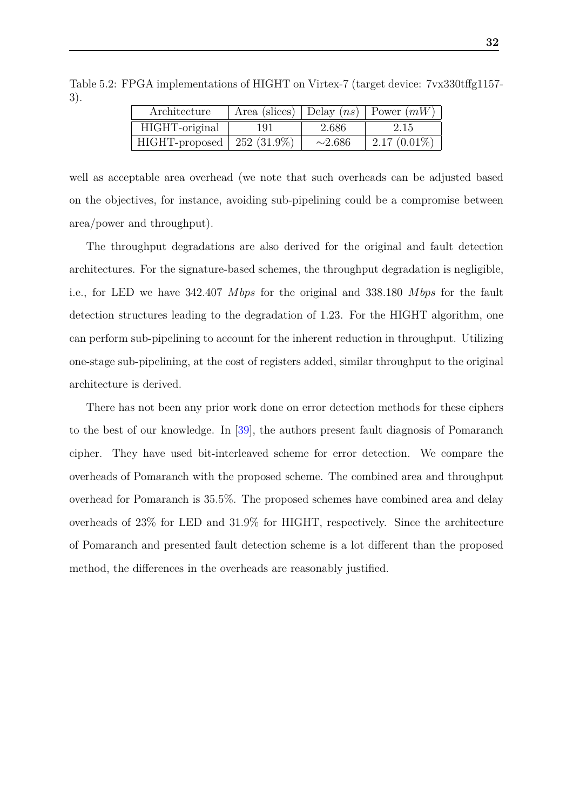| Architecture                 | Area (slices)   Delay $(ns)$   Power $(mW)$ |              |                |  |  |
|------------------------------|---------------------------------------------|--------------|----------------|--|--|
| HIGHT-original               | 191                                         | 2.686        | 2.15           |  |  |
| HIGHT-proposed   252 (31.9%) |                                             | $\sim$ 2.686 | $2.17(0.01\%)$ |  |  |

<span id="page-34-0"></span>Table 5.2: FPGA implementations of HIGHT on Virtex-7 (target device: 7vx330tffg1157- 3).

well as acceptable area overhead (we note that such overheads can be adjusted based on the objectives, for instance, avoiding sub-pipelining could be a compromise between area/power and throughput).

The throughput degradations are also derived for the original and fault detection architectures. For the signature-based schemes, the throughput degradation is negligible, i.e., for LED we have 342.407 *M bps* for the original and 338.180 *M bps* for the fault detection structures leading to the degradation of 1*.*23. For the HIGHT algorithm, one can perform sub-pipelining to account for the inherent reduction in throughput. Utilizing one-stage sub-pipelining, at the cost of registers added, similar throughput to the original architecture is derived.

There has not been any prior work done on error detection methods for these ciphers to the best of our knowledge. In [\[39\]](#page-41-5), the authors present fault diagnosis of Pomaranch cipher. They have used bit-interleaved scheme for error detection. We compare the overheads of Pomaranch with the proposed scheme. The combined area and throughput overhead for Pomaranch is 35.5%. The proposed schemes have combined area and delay overheads of 23% for LED and 31.9% for HIGHT, respectively. Since the architecture of Pomaranch and presented fault detection scheme is a lot different than the proposed method, the differences in the overheads are reasonably justified.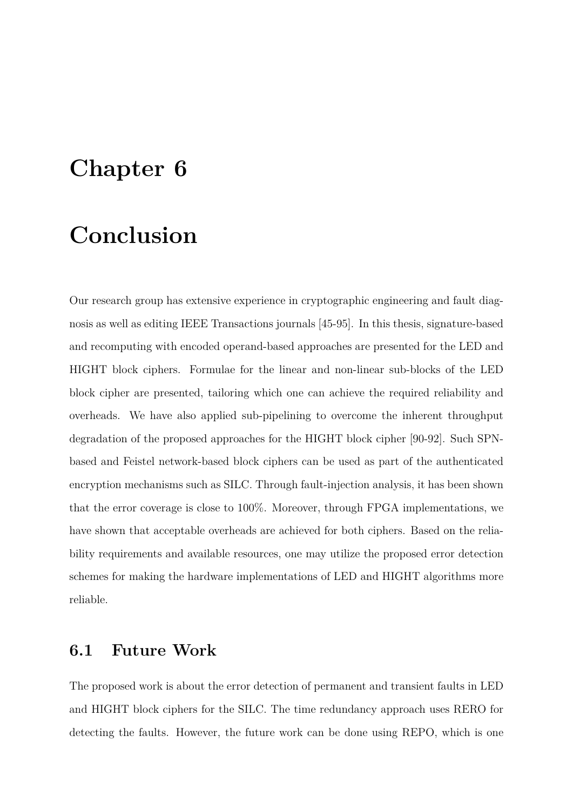## <span id="page-35-0"></span>**Chapter 6**

## **Conclusion**

Our research group has extensive experience in cryptographic engineering and fault diagnosis as well as editing IEEE Transactions journals [45-95]. In this thesis, signature-based and recomputing with encoded operand-based approaches are presented for the LED and HIGHT block ciphers. Formulae for the linear and non-linear sub-blocks of the LED block cipher are presented, tailoring which one can achieve the required reliability and overheads. We have also applied sub-pipelining to overcome the inherent throughput degradation of the proposed approaches for the HIGHT block cipher [90-92]. Such SPNbased and Feistel network-based block ciphers can be used as part of the authenticated encryption mechanisms such as SILC. Through fault-injection analysis, it has been shown that the error coverage is close to 100%. Moreover, through FPGA implementations, we have shown that acceptable overheads are achieved for both ciphers. Based on the reliability requirements and available resources, one may utilize the proposed error detection schemes for making the hardware implementations of LED and HIGHT algorithms more reliable.

### <span id="page-35-1"></span>**6.1 Future Work**

The proposed work is about the error detection of permanent and transient faults in LED and HIGHT block ciphers for the SILC. The time redundancy approach uses RERO for detecting the faults. However, the future work can be done using REPO, which is one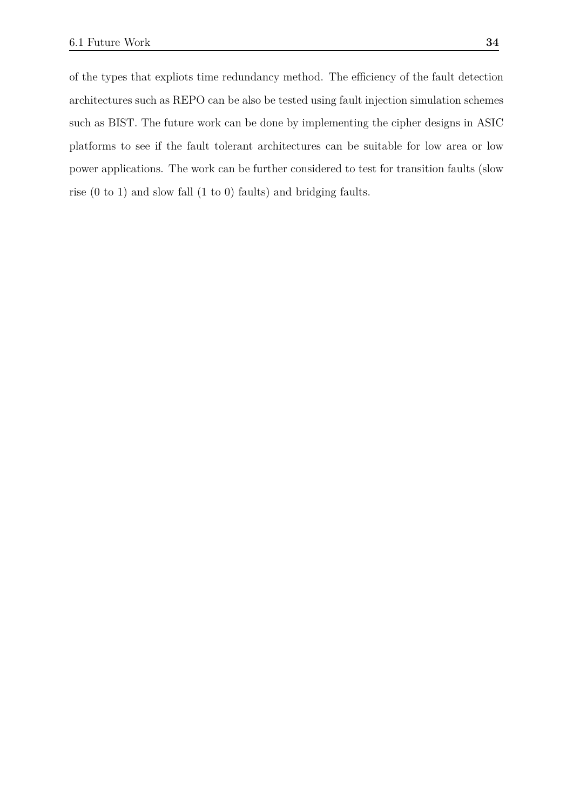of the types that expliots time redundancy method. The efficiency of the fault detection architectures such as REPO can be also be tested using fault injection simulation schemes such as BIST. The future work can be done by implementing the cipher designs in ASIC platforms to see if the fault tolerant architectures can be suitable for low area or low power applications. The work can be further considered to test for transition faults (slow rise (0 to 1) and slow fall (1 to 0) faults) and bridging faults.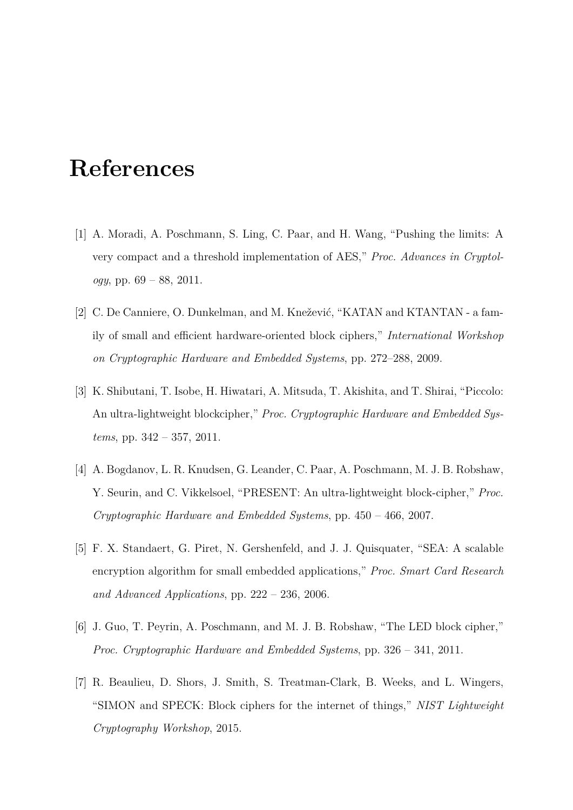## <span id="page-37-0"></span>**References**

- <span id="page-37-1"></span>[1] A. Moradi, A. Poschmann, S. Ling, C. Paar, and H. Wang, "Pushing the limits: A very compact and a threshold implementation of AES," *Proc. Advances in Cryptology*, pp. 69 – 88, 2011.
- <span id="page-37-2"></span>[2] C. De Canniere, O. Dunkelman, and M. Knežević, "KATAN and KTANTAN - a family of small and efficient hardware-oriented block ciphers," *International Workshop on Cryptographic Hardware and Embedded Systems*, pp. 272–288, 2009.
- <span id="page-37-3"></span>[3] K. Shibutani, T. Isobe, H. Hiwatari, A. Mitsuda, T. Akishita, and T. Shirai, "Piccolo: An ultra-lightweight blockcipher," *Proc. Cryptographic Hardware and Embedded Systems*, pp. 342 – 357, 2011.
- <span id="page-37-4"></span>[4] A. Bogdanov, L. R. Knudsen, G. Leander, C. Paar, A. Poschmann, M. J. B. Robshaw, Y. Seurin, and C. Vikkelsoel, "PRESENT: An ultra-lightweight block-cipher," *Proc. Cryptographic Hardware and Embedded Systems*, pp. 450 – 466, 2007.
- <span id="page-37-5"></span>[5] F. X. Standaert, G. Piret, N. Gershenfeld, and J. J. Quisquater, "SEA: A scalable encryption algorithm for small embedded applications," *Proc. Smart Card Research and Advanced Applications*, pp. 222 – 236, 2006.
- <span id="page-37-6"></span>[6] J. Guo, T. Peyrin, A. Poschmann, and M. J. B. Robshaw, "The LED block cipher," *Proc. Cryptographic Hardware and Embedded Systems*, pp. 326 – 341, 2011.
- <span id="page-37-7"></span>[7] R. Beaulieu, D. Shors, J. Smith, S. Treatman-Clark, B. Weeks, and L. Wingers, "SIMON and SPECK: Block ciphers for the internet of things," *NIST Lightweight Cryptography Workshop*, 2015.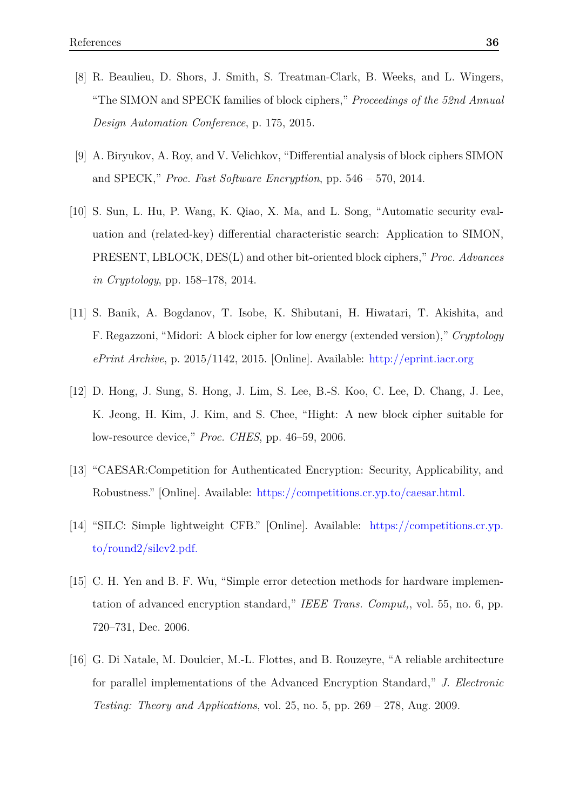- [8] R. Beaulieu, D. Shors, J. Smith, S. Treatman-Clark, B. Weeks, and L. Wingers, "The SIMON and SPECK families of block ciphers," *Proceedings of the 52nd Annual Design Automation Conference*, p. 175, 2015.
- [9] A. Biryukov, A. Roy, and V. Velichkov, "Differential analysis of block ciphers SIMON and SPECK," *Proc. Fast Software Encryption*, pp. 546 – 570, 2014.
- <span id="page-38-0"></span>[10] S. Sun, L. Hu, P. Wang, K. Qiao, X. Ma, and L. Song, "Automatic security evaluation and (related-key) differential characteristic search: Application to SIMON, PRESENT, LBLOCK, DES(L) and other bit-oriented block ciphers," *Proc. Advances in Cryptology*, pp. 158–178, 2014.
- <span id="page-38-1"></span>[11] S. Banik, A. Bogdanov, T. Isobe, K. Shibutani, H. Hiwatari, T. Akishita, and F. Regazzoni, "Midori: A block cipher for low energy (extended version)," *Cryptology ePrint Archive*, p. 2015/1142, 2015. [Online]. Available: [http://eprint.iacr.org](http://eprint. iacr. org)
- <span id="page-38-2"></span>[12] D. Hong, J. Sung, S. Hong, J. Lim, S. Lee, B.-S. Koo, C. Lee, D. Chang, J. Lee, K. Jeong, H. Kim, J. Kim, and S. Chee, "Hight: A new block cipher suitable for low-resource device," *Proc. CHES*, pp. 46–59, 2006.
- <span id="page-38-3"></span>[13] "CAESAR:Competition for Authenticated Encryption: Security, Applicability, and Robustness." [Online]. Available: <https://competitions.cr.yp.to/caesar.html.>
- <span id="page-38-4"></span>[14] "SILC: Simple lightweight CFB." [Online]. Available: [https://competitions.cr.yp.](https://competitions.cr.yp.to/round2/silcv2.pdf.) [to/round2/silcv2.pdf.](https://competitions.cr.yp.to/round2/silcv2.pdf.)
- <span id="page-38-5"></span>[15] C. H. Yen and B. F. Wu, "Simple error detection methods for hardware implementation of advanced encryption standard," *IEEE Trans. Comput,*, vol. 55, no. 6, pp. 720–731, Dec. 2006.
- [16] G. Di Natale, M. Doulcier, M.-L. Flottes, and B. Rouzeyre, "A reliable architecture for parallel implementations of the Advanced Encryption Standard," *J. Electronic Testing: Theory and Applications*, vol. 25, no. 5, pp. 269 – 278, Aug. 2009.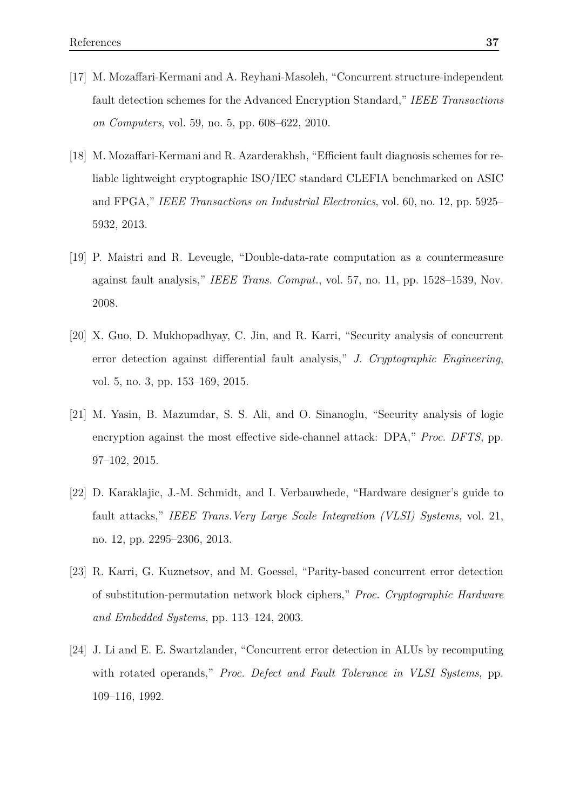- [17] M. Mozaffari-Kermani and A. Reyhani-Masoleh, "Concurrent structure-independent fault detection schemes for the Advanced Encryption Standard," *IEEE Transactions on Computers*, vol. 59, no. 5, pp. 608–622, 2010.
- [18] M. Mozaffari-Kermani and R. Azarderakhsh, "Efficient fault diagnosis schemes for reliable lightweight cryptographic ISO/IEC standard CLEFIA benchmarked on ASIC and FPGA," *IEEE Transactions on Industrial Electronics*, vol. 60, no. 12, pp. 5925– 5932, 2013.
- [19] P. Maistri and R. Leveugle, "Double-data-rate computation as a countermeasure against fault analysis," *IEEE Trans. Comput.*, vol. 57, no. 11, pp. 1528–1539, Nov. 2008.
- [20] X. Guo, D. Mukhopadhyay, C. Jin, and R. Karri, "Security analysis of concurrent error detection against differential fault analysis," *J. Cryptographic Engineering*, vol. 5, no. 3, pp. 153–169, 2015.
- [21] M. Yasin, B. Mazumdar, S. S. Ali, and O. Sinanoglu, "Security analysis of logic encryption against the most effective side-channel attack: DPA," *Proc. DFTS*, pp. 97–102, 2015.
- [22] D. Karaklajic, J.-M. Schmidt, and I. Verbauwhede, "Hardware designer's guide to fault attacks," *IEEE Trans.Very Large Scale Integration (VLSI) Systems*, vol. 21, no. 12, pp. 2295–2306, 2013.
- <span id="page-39-0"></span>[23] R. Karri, G. Kuznetsov, and M. Goessel, "Parity-based concurrent error detection of substitution-permutation network block ciphers," *Proc. Cryptographic Hardware and Embedded Systems*, pp. 113–124, 2003.
- <span id="page-39-1"></span>[24] J. Li and E. E. Swartzlander, "Concurrent error detection in ALUs by recomputing with rotated operands," *Proc. Defect and Fault Tolerance in VLSI Systems*, pp. 109–116, 1992.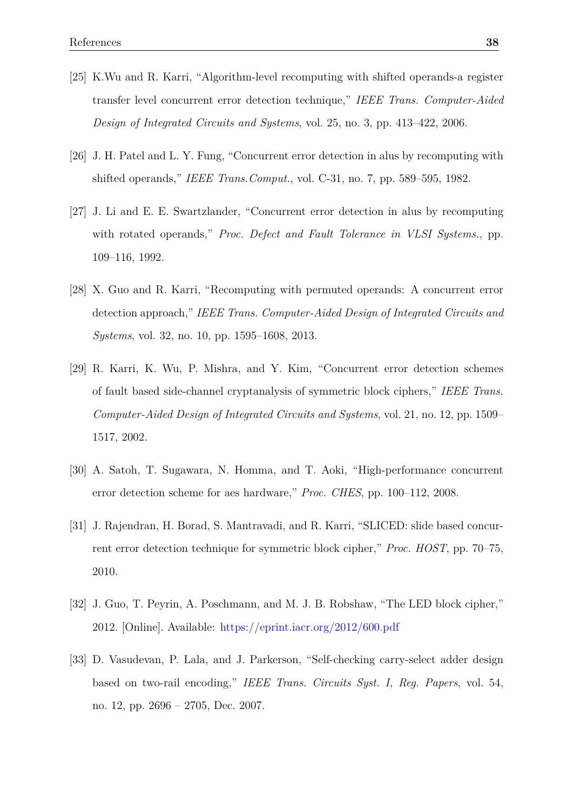- <span id="page-40-0"></span>[25] K.Wu and R. Karri, "Algorithm-level recomputing with shifted operands-a register transfer level concurrent error detection technique," *IEEE Trans. Computer-Aided Design of Integrated Circuits and Systems*, vol. 25, no. 3, pp. 413–422, 2006.
- <span id="page-40-1"></span>[26] J. H. Patel and L. Y. Fung, "Concurrent error detection in alus by recomputing with shifted operands," *IEEE Trans.Comput.*, vol. C-31, no. 7, pp. 589–595, 1982.
- <span id="page-40-2"></span>[27] J. Li and E. E. Swartzlander, "Concurrent error detection in alus by recomputing with rotated operands," *Proc. Defect and Fault Tolerance in VLSI Systems.*, pp. 109–116, 1992.
- <span id="page-40-3"></span>[28] X. Guo and R. Karri, "Recomputing with permuted operands: A concurrent error detection approach," *IEEE Trans. Computer-Aided Design of Integrated Circuits and Systems*, vol. 32, no. 10, pp. 1595–1608, 2013.
- <span id="page-40-4"></span>[29] R. Karri, K. Wu, P. Mishra, and Y. Kim, "Concurrent error detection schemes of fault based side-channel cryptanalysis of symmetric block ciphers," *IEEE Trans. Computer-Aided Design of Integrated Circuits and Systems*, vol. 21, no. 12, pp. 1509– 1517, 2002.
- [30] A. Satoh, T. Sugawara, N. Homma, and T. Aoki, "High-performance concurrent error detection scheme for aes hardware," *Proc. CHES*, pp. 100–112, 2008.
- <span id="page-40-5"></span>[31] J. Rajendran, H. Borad, S. Mantravadi, and R. Karri, "SLICED: slide based concurrent error detection technique for symmetric block cipher," *Proc. HOST*, pp. 70–75, 2010.
- <span id="page-40-6"></span>[32] J. Guo, T. Peyrin, A. Poschmann, and M. J. B. Robshaw, "The LED block cipher," 2012. [Online]. Available: <https://eprint.iacr.org/2012/600.pdf>
- <span id="page-40-7"></span>[33] D. Vasudevan, P. Lala, and J. Parkerson, "Self-checking carry-select adder design based on two-rail encoding," *IEEE Trans. Circuits Syst. I, Reg. Papers*, vol. 54, no. 12, pp. 2696 – 2705, Dec. 2007.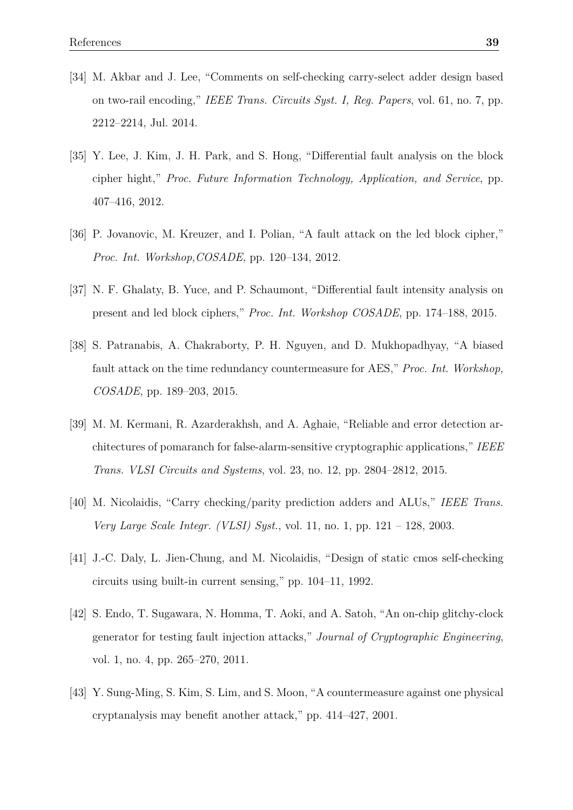- <span id="page-41-0"></span>[34] M. Akbar and J. Lee, "Comments on self-checking carry-select adder design based on two-rail encoding," *IEEE Trans. Circuits Syst. I, Reg. Papers*, vol. 61, no. 7, pp. 2212–2214, Jul. 2014.
- <span id="page-41-1"></span>[35] Y. Lee, J. Kim, J. H. Park, and S. Hong, "Differential fault analysis on the block cipher hight," *Proc. Future Information Technology, Application, and Service*, pp. 407–416, 2012.
- <span id="page-41-2"></span>[36] P. Jovanovic, M. Kreuzer, and I. Polian, "A fault attack on the led block cipher," *Proc. Int. Workshop,COSADE*, pp. 120–134, 2012.
- <span id="page-41-3"></span>[37] N. F. Ghalaty, B. Yuce, and P. Schaumont, "Differential fault intensity analysis on present and led block ciphers," *Proc. Int. Workshop COSADE*, pp. 174–188, 2015.
- <span id="page-41-4"></span>[38] S. Patranabis, A. Chakraborty, P. H. Nguyen, and D. Mukhopadhyay, "A biased fault attack on the time redundancy countermeasure for AES," *Proc. Int. Workshop, COSADE*, pp. 189–203, 2015.
- <span id="page-41-5"></span>[39] M. M. Kermani, R. Azarderakhsh, and A. Aghaie, "Reliable and error detection architectures of pomaranch for false-alarm-sensitive cryptographic applications," *IEEE Trans. VLSI Circuits and Systems*, vol. 23, no. 12, pp. 2804–2812, 2015.
- [40] M. Nicolaidis, "Carry checking/parity prediction adders and ALUs," *IEEE Trans. Very Large Scale Integr. (VLSI) Syst.*, vol. 11, no. 1, pp. 121 – 128, 2003.
- [41] J.-C. Daly, L. Jien-Chung, and M. Nicolaidis, "Design of static cmos self-checking circuits using built-in current sensing," pp. 104–11, 1992.
- [42] S. Endo, T. Sugawara, N. Homma, T. Aoki, and A. Satoh, "An on-chip glitchy-clock generator for testing fault injection attacks," *Journal of Cryptographic Engineering*, vol. 1, no. 4, pp. 265–270, 2011.
- [43] Y. Sung-Ming, S. Kim, S. Lim, and S. Moon, "A countermeasure against one physical cryptanalysis may benefit another attack," pp. 414–427, 2001.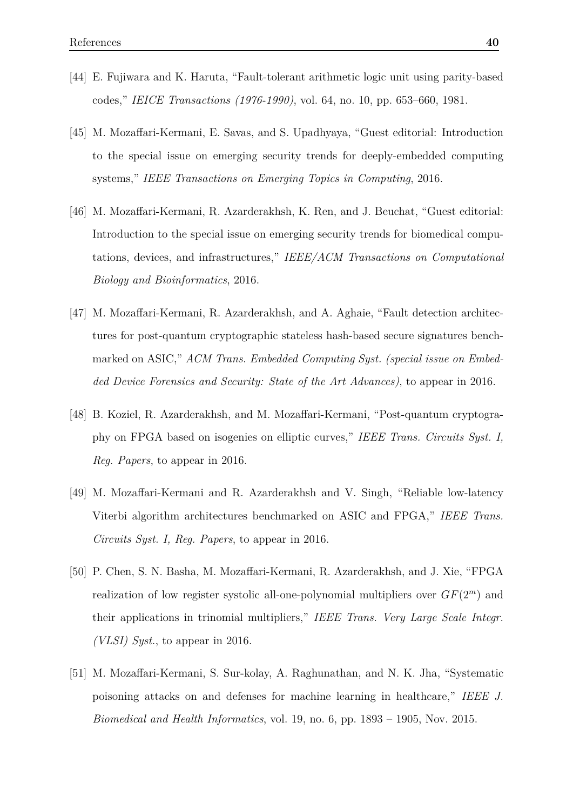- [44] E. Fujiwara and K. Haruta, "Fault-tolerant arithmetic logic unit using parity-based codes," *IEICE Transactions (1976-1990)*, vol. 64, no. 10, pp. 653–660, 1981.
- [45] M. Mozaffari-Kermani, E. Savas, and S. Upadhyaya, "Guest editorial: Introduction to the special issue on emerging security trends for deeply-embedded computing systems," *IEEE Transactions on Emerging Topics in Computing*, 2016.
- [46] M. Mozaffari-Kermani, R. Azarderakhsh, K. Ren, and J. Beuchat, "Guest editorial: Introduction to the special issue on emerging security trends for biomedical computations, devices, and infrastructures," *IEEE/ACM Transactions on Computational Biology and Bioinformatics*, 2016.
- [47] M. Mozaffari-Kermani, R. Azarderakhsh, and A. Aghaie, "Fault detection architectures for post-quantum cryptographic stateless hash-based secure signatures benchmarked on ASIC," *ACM Trans. Embedded Computing Syst. (special issue on Embedded Device Forensics and Security: State of the Art Advances)*, to appear in 2016.
- [48] B. Koziel, R. Azarderakhsh, and M. Mozaffari-Kermani, "Post-quantum cryptography on FPGA based on isogenies on elliptic curves," *IEEE Trans. Circuits Syst. I, Reg. Papers*, to appear in 2016.
- [49] M. Mozaffari-Kermani and R. Azarderakhsh and V. Singh, "Reliable low-latency Viterbi algorithm architectures benchmarked on ASIC and FPGA," *IEEE Trans. Circuits Syst. I, Reg. Papers*, to appear in 2016.
- [50] P. Chen, S. N. Basha, M. Mozaffari-Kermani, R. Azarderakhsh, and J. Xie, "FPGA realization of low register systolic all-one-polynomial multipliers over *GF*(2*<sup>m</sup>*) and their applications in trinomial multipliers," *IEEE Trans. Very Large Scale Integr. (VLSI) Syst.*, to appear in 2016.
- [51] M. Mozaffari-Kermani, S. Sur-kolay, A. Raghunathan, and N. K. Jha, "Systematic poisoning attacks on and defenses for machine learning in healthcare," *IEEE J. Biomedical and Health Informatics*, vol. 19, no. 6, pp. 1893 – 1905, Nov. 2015.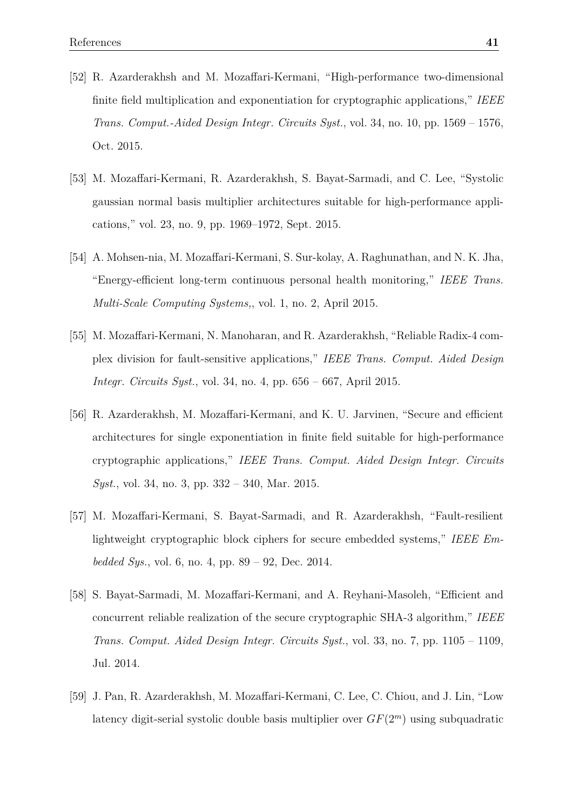- [52] R. Azarderakhsh and M. Mozaffari-Kermani, "High-performance two-dimensional finite field multiplication and exponentiation for cryptographic applications," *IEEE Trans. Comput.-Aided Design Integr. Circuits Syst.*, vol. 34, no. 10, pp. 1569 – 1576, Oct. 2015.
- [53] M. Mozaffari-Kermani, R. Azarderakhsh, S. Bayat-Sarmadi, and C. Lee, "Systolic gaussian normal basis multiplier architectures suitable for high-performance applications," vol. 23, no. 9, pp. 1969–1972, Sept. 2015.
- [54] A. Mohsen-nia, M. Mozaffari-Kermani, S. Sur-kolay, A. Raghunathan, and N. K. Jha, "Energy-efficient long-term continuous personal health monitoring," *IEEE Trans. Multi-Scale Computing Systems,*, vol. 1, no. 2, April 2015.
- [55] M. Mozaffari-Kermani, N. Manoharan, and R. Azarderakhsh, "Reliable Radix-4 complex division for fault-sensitive applications," *IEEE Trans. Comput. Aided Design Integr. Circuits Syst.*, vol. 34, no. 4, pp. 656 – 667, April 2015.
- [56] R. Azarderakhsh, M. Mozaffari-Kermani, and K. U. Jarvinen, "Secure and efficient architectures for single exponentiation in finite field suitable for high-performance cryptographic applications," *IEEE Trans. Comput. Aided Design Integr. Circuits Syst.*, vol. 34, no. 3, pp. 332 – 340, Mar. 2015.
- [57] M. Mozaffari-Kermani, S. Bayat-Sarmadi, and R. Azarderakhsh, "Fault-resilient lightweight cryptographic block ciphers for secure embedded systems," *IEEE Embedded Sys.*, vol. 6, no. 4, pp. 89 – 92, Dec. 2014.
- [58] S. Bayat-Sarmadi, M. Mozaffari-Kermani, and A. Reyhani-Masoleh, "Efficient and concurrent reliable realization of the secure cryptographic SHA-3 algorithm," *IEEE Trans. Comput. Aided Design Integr. Circuits Syst.*, vol. 33, no. 7, pp. 1105 – 1109, Jul. 2014.
- [59] J. Pan, R. Azarderakhsh, M. Mozaffari-Kermani, C. Lee, C. Chiou, and J. Lin, "Low latency digit-serial systolic double basis multiplier over *GF*(2*<sup>m</sup>*) using subquadratic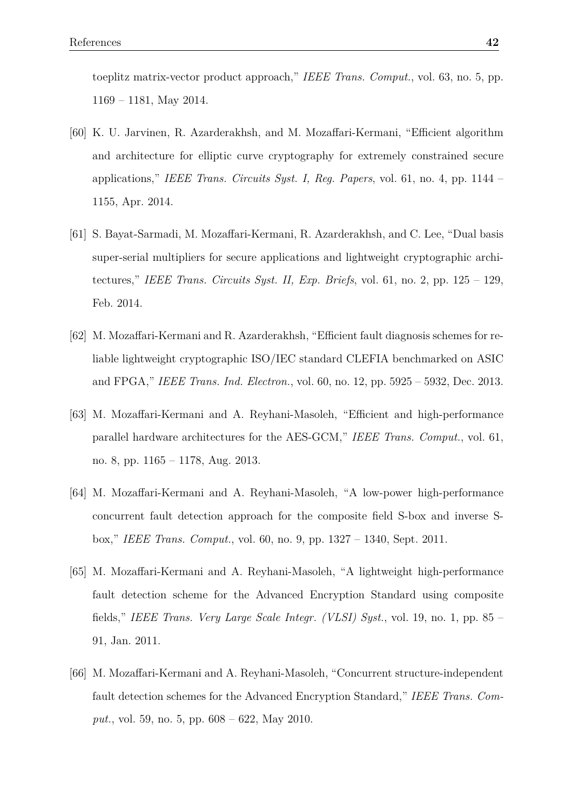toeplitz matrix-vector product approach," *IEEE Trans. Comput.*, vol. 63, no. 5, pp. 1169 – 1181, May 2014.

- [60] K. U. Jarvinen, R. Azarderakhsh, and M. Mozaffari-Kermani, "Efficient algorithm and architecture for elliptic curve cryptography for extremely constrained secure applications," *IEEE Trans. Circuits Syst. I, Reg. Papers*, vol. 61, no. 4, pp. 1144 – 1155, Apr. 2014.
- [61] S. Bayat-Sarmadi, M. Mozaffari-Kermani, R. Azarderakhsh, and C. Lee, "Dual basis super-serial multipliers for secure applications and lightweight cryptographic architectures," *IEEE Trans. Circuits Syst. II, Exp. Briefs*, vol. 61, no. 2, pp. 125 – 129, Feb. 2014.
- [62] M. Mozaffari-Kermani and R. Azarderakhsh, "Efficient fault diagnosis schemes for reliable lightweight cryptographic ISO/IEC standard CLEFIA benchmarked on ASIC and FPGA," *IEEE Trans. Ind. Electron.*, vol. 60, no. 12, pp. 5925 – 5932, Dec. 2013.
- [63] M. Mozaffari-Kermani and A. Reyhani-Masoleh, "Efficient and high-performance parallel hardware architectures for the AES-GCM," *IEEE Trans. Comput.*, vol. 61, no. 8, pp. 1165 – 1178, Aug. 2013.
- [64] M. Mozaffari-Kermani and A. Reyhani-Masoleh, "A low-power high-performance concurrent fault detection approach for the composite field S-box and inverse Sbox," *IEEE Trans. Comput.*, vol. 60, no. 9, pp. 1327 – 1340, Sept. 2011.
- [65] M. Mozaffari-Kermani and A. Reyhani-Masoleh, "A lightweight high-performance fault detection scheme for the Advanced Encryption Standard using composite fields," *IEEE Trans. Very Large Scale Integr. (VLSI) Syst.*, vol. 19, no. 1, pp. 85 – 91, Jan. 2011.
- [66] M. Mozaffari-Kermani and A. Reyhani-Masoleh, "Concurrent structure-independent fault detection schemes for the Advanced Encryption Standard," *IEEE Trans. Comput.*, vol. 59, no. 5, pp. 608 – 622, May 2010.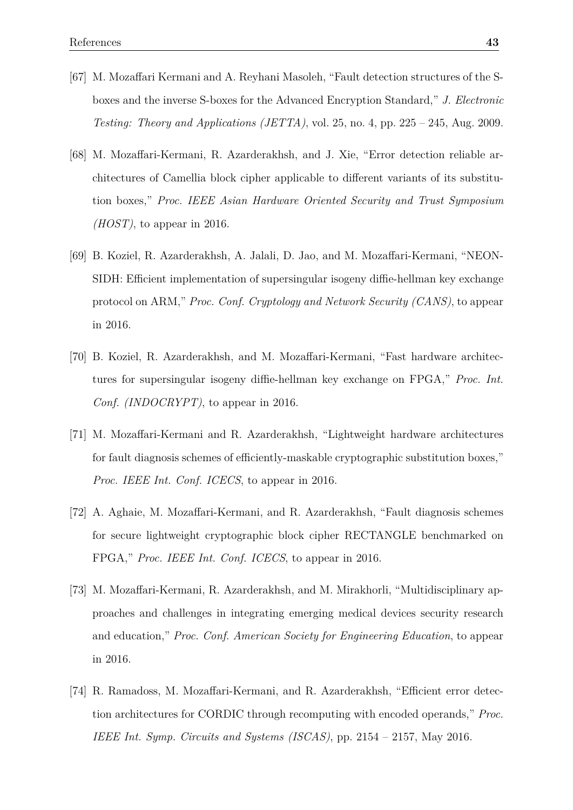- [67] M. Mozaffari Kermani and A. Reyhani Masoleh, "Fault detection structures of the Sboxes and the inverse S-boxes for the Advanced Encryption Standard," *J. Electronic Testing: Theory and Applications (JETTA)*, vol. 25, no. 4, pp. 225 – 245, Aug. 2009.
- [68] M. Mozaffari-Kermani, R. Azarderakhsh, and J. Xie, "Error detection reliable architectures of Camellia block cipher applicable to different variants of its substitution boxes," *Proc. IEEE Asian Hardware Oriented Security and Trust Symposium (HOST)*, to appear in 2016.
- [69] B. Koziel, R. Azarderakhsh, A. Jalali, D. Jao, and M. Mozaffari-Kermani, "NEON-SIDH: Efficient implementation of supersingular isogeny diffie-hellman key exchange protocol on ARM," *Proc. Conf. Cryptology and Network Security (CANS)*, to appear in 2016.
- [70] B. Koziel, R. Azarderakhsh, and M. Mozaffari-Kermani, "Fast hardware architectures for supersingular isogeny diffie-hellman key exchange on FPGA," *Proc. Int. Conf. (INDOCRYPT)*, to appear in 2016.
- [71] M. Mozaffari-Kermani and R. Azarderakhsh, "Lightweight hardware architectures for fault diagnosis schemes of efficiently-maskable cryptographic substitution boxes," *Proc. IEEE Int. Conf. ICECS*, to appear in 2016.
- [72] A. Aghaie, M. Mozaffari-Kermani, and R. Azarderakhsh, "Fault diagnosis schemes for secure lightweight cryptographic block cipher RECTANGLE benchmarked on FPGA," *Proc. IEEE Int. Conf. ICECS*, to appear in 2016.
- [73] M. Mozaffari-Kermani, R. Azarderakhsh, and M. Mirakhorli, "Multidisciplinary approaches and challenges in integrating emerging medical devices security research and education," *Proc. Conf. American Society for Engineering Education*, to appear in 2016.
- [74] R. Ramadoss, M. Mozaffari-Kermani, and R. Azarderakhsh, "Efficient error detection architectures for CORDIC through recomputing with encoded operands," *Proc. IEEE Int. Symp. Circuits and Systems (ISCAS)*, pp. 2154 – 2157, May 2016.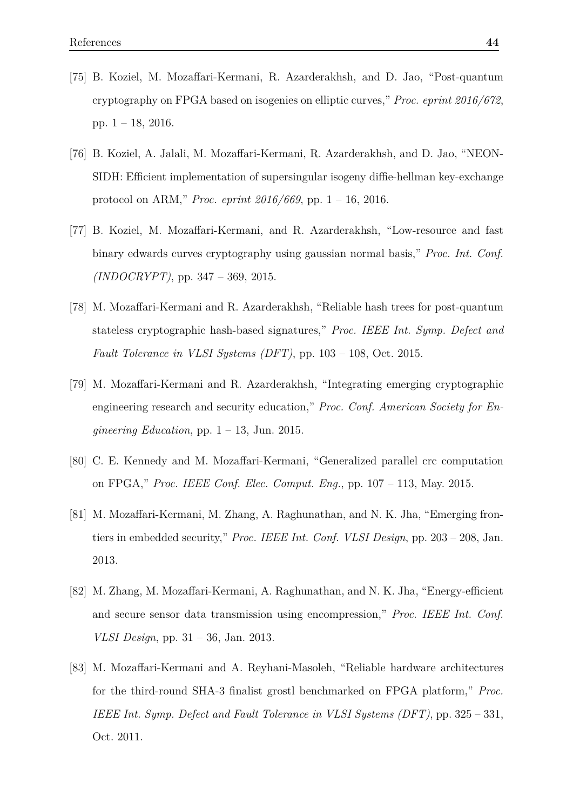- [75] B. Koziel, M. Mozaffari-Kermani, R. Azarderakhsh, and D. Jao, "Post-quantum cryptography on FPGA based on isogenies on elliptic curves," *Proc. eprint 2016/672*, pp. 1 – 18, 2016.
- [76] B. Koziel, A. Jalali, M. Mozaffari-Kermani, R. Azarderakhsh, and D. Jao, "NEON-SIDH: Efficient implementation of supersingular isogeny diffie-hellman key-exchange protocol on ARM," *Proc. eprint 2016/669*, pp. 1 – 16, 2016.
- [77] B. Koziel, M. Mozaffari-Kermani, and R. Azarderakhsh, "Low-resource and fast binary edwards curves cryptography using gaussian normal basis," *Proc. Int. Conf. (INDOCRYPT)*, pp. 347 – 369, 2015.
- [78] M. Mozaffari-Kermani and R. Azarderakhsh, "Reliable hash trees for post-quantum stateless cryptographic hash-based signatures," *Proc. IEEE Int. Symp. Defect and Fault Tolerance in VLSI Systems (DFT)*, pp. 103 – 108, Oct. 2015.
- [79] M. Mozaffari-Kermani and R. Azarderakhsh, "Integrating emerging cryptographic engineering research and security education," *Proc. Conf. American Society for Engineering Education*, pp. 1 – 13, Jun. 2015.
- [80] C. E. Kennedy and M. Mozaffari-Kermani, "Generalized parallel crc computation on FPGA," *Proc. IEEE Conf. Elec. Comput. Eng.*, pp. 107 – 113, May. 2015.
- [81] M. Mozaffari-Kermani, M. Zhang, A. Raghunathan, and N. K. Jha, "Emerging frontiers in embedded security," *Proc. IEEE Int. Conf. VLSI Design*, pp. 203 – 208, Jan. 2013.
- [82] M. Zhang, M. Mozaffari-Kermani, A. Raghunathan, and N. K. Jha, "Energy-efficient and secure sensor data transmission using encompression," *Proc. IEEE Int. Conf. VLSI Design*, pp. 31 – 36, Jan. 2013.
- [83] M. Mozaffari-Kermani and A. Reyhani-Masoleh, "Reliable hardware architectures for the third-round SHA-3 finalist grostl benchmarked on FPGA platform," *Proc. IEEE Int. Symp. Defect and Fault Tolerance in VLSI Systems (DFT)*, pp. 325 – 331, Oct. 2011.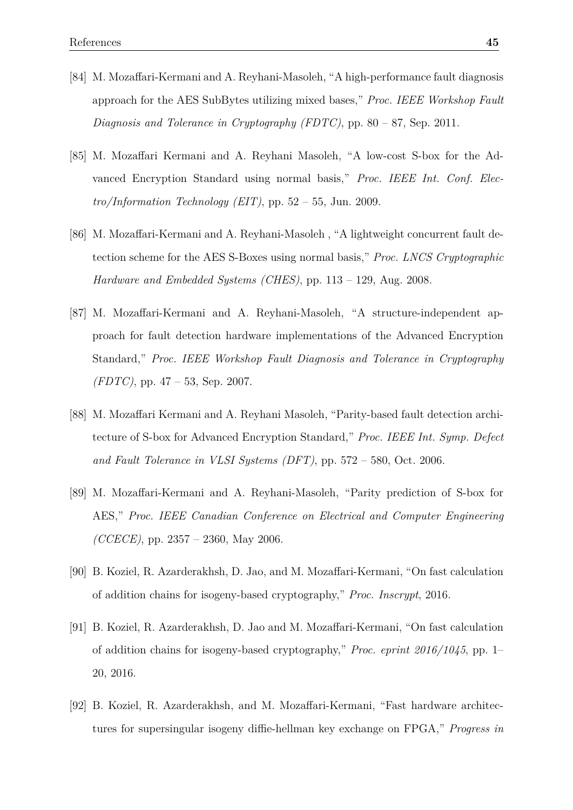- [84] M. Mozaffari-Kermani and A. Reyhani-Masoleh, "A high-performance fault diagnosis approach for the AES SubBytes utilizing mixed bases," *Proc. IEEE Workshop Fault Diagnosis and Tolerance in Cryptography (FDTC)*, pp. 80 – 87, Sep. 2011.
- [85] M. Mozaffari Kermani and A. Reyhani Masoleh, "A low-cost S-box for the Advanced Encryption Standard using normal basis," *Proc. IEEE Int. Conf. Electro/Information Technology (EIT)*, pp. 52 – 55, Jun. 2009.
- [86] M. Mozaffari-Kermani and A. Reyhani-Masoleh , "A lightweight concurrent fault detection scheme for the AES S-Boxes using normal basis," *Proc. LNCS Cryptographic Hardware and Embedded Systems (CHES)*, pp. 113 – 129, Aug. 2008.
- [87] M. Mozaffari-Kermani and A. Reyhani-Masoleh, "A structure-independent approach for fault detection hardware implementations of the Advanced Encryption Standard," *Proc. IEEE Workshop Fault Diagnosis and Tolerance in Cryptography (FDTC)*, pp. 47 – 53, Sep. 2007.
- [88] M. Mozaffari Kermani and A. Reyhani Masoleh, "Parity-based fault detection architecture of S-box for Advanced Encryption Standard," *Proc. IEEE Int. Symp. Defect and Fault Tolerance in VLSI Systems (DFT)*, pp. 572 – 580, Oct. 2006.
- [89] M. Mozaffari-Kermani and A. Reyhani-Masoleh, "Parity prediction of S-box for AES," *Proc. IEEE Canadian Conference on Electrical and Computer Engineering (CCECE)*, pp. 2357 – 2360, May 2006.
- [90] B. Koziel, R. Azarderakhsh, D. Jao, and M. Mozaffari-Kermani, "On fast calculation of addition chains for isogeny-based cryptography," *Proc. Inscrypt*, 2016.
- [91] B. Koziel, R. Azarderakhsh, D. Jao and M. Mozaffari-Kermani, "On fast calculation of addition chains for isogeny-based cryptography," *Proc. eprint 2016/1045*, pp. 1– 20, 2016.
- [92] B. Koziel, R. Azarderakhsh, and M. Mozaffari-Kermani, "Fast hardware architectures for supersingular isogeny diffie-hellman key exchange on FPGA," *Progress in*